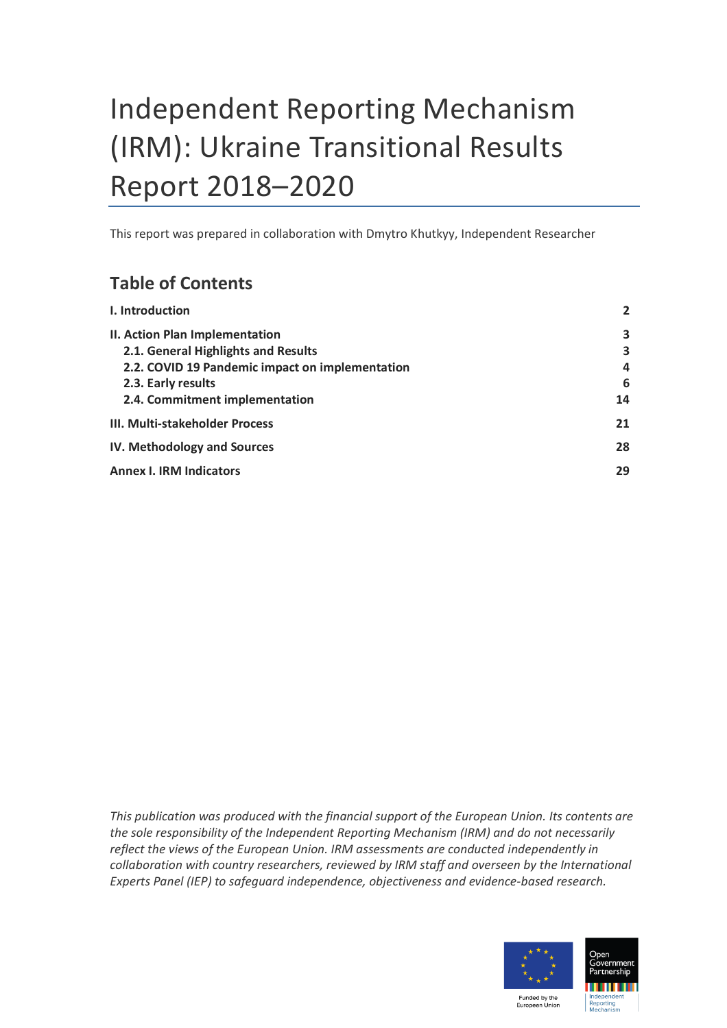# Independent Reporting Mechanism (IRM): Ukraine Transitional Results Report 2018–2020

This report was prepared in collaboration with Dmytro Khutkyy, Independent Researcher

# **Table of Contents**

| I. Introduction                                 | $\overline{2}$ |
|-------------------------------------------------|----------------|
| II. Action Plan Implementation                  | 3              |
| 2.1. General Highlights and Results             | 3              |
| 2.2. COVID 19 Pandemic impact on implementation | 4              |
| 2.3. Early results                              | 6              |
| 2.4. Commitment implementation                  | 14             |
| III. Multi-stakeholder Process                  | 21             |
| IV. Methodology and Sources                     | 28             |
| <b>Annex I. IRM Indicators</b>                  | 29             |
|                                                 |                |

*This publication was produced with the financial support of the European Union. Its contents are the sole responsibility of the Independent Reporting Mechanism (IRM) and do not necessarily reflect the views of the European Union. IRM assessments are conducted independently in collaboration with country researchers, reviewed by IRM staff and overseen by the International Experts Panel (IEP) to safeguard independence, objectiveness and evidence-based research.*

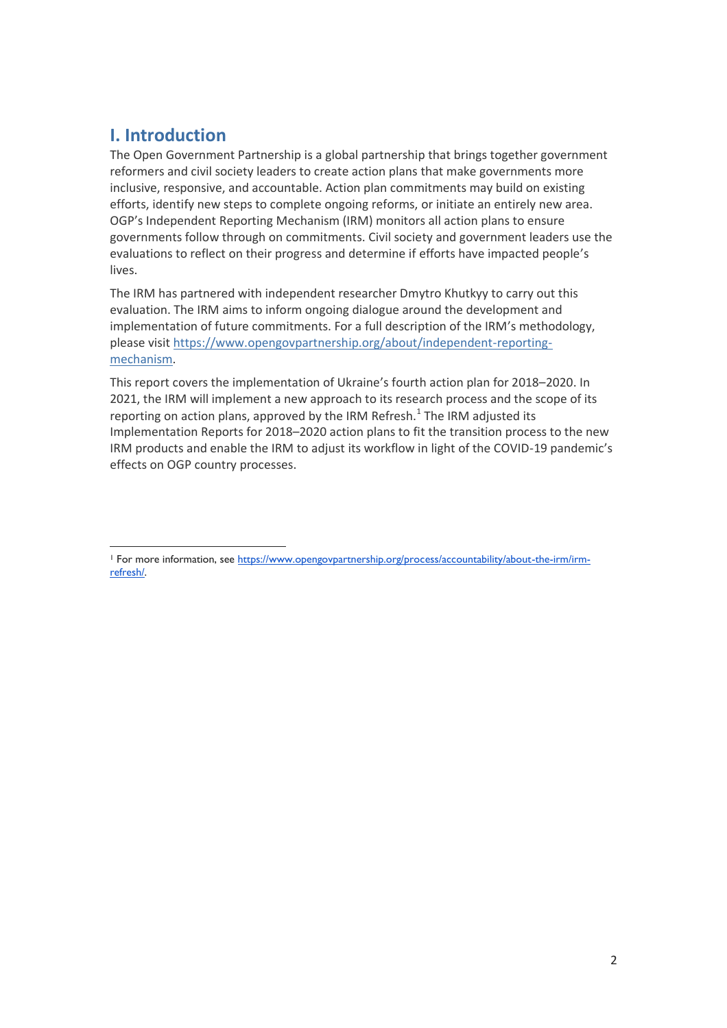## <span id="page-1-0"></span>**I. Introduction**

The Open Government Partnership is a global partnership that brings together government reformers and civil society leaders to create action plans that make governments more inclusive, responsive, and accountable. Action plan commitments may build on existing efforts, identify new steps to complete ongoing reforms, or initiate an entirely new area. OGP's Independent Reporting Mechanism (IRM) monitors all action plans to ensure governments follow through on commitments. Civil society and government leaders use the evaluations to reflect on their progress and determine if efforts have impacted people's lives.

The IRM has partnered with independent researcher Dmytro Khutkyy to carry out this evaluation. The IRM aims to inform ongoing dialogue around the development and implementation of future commitments. For a full description of the IRM's methodology, please visit [https://www.opengovpartnership.org/about/independent-reporting](https://www.opengovpartnership.org/about/independent-reporting-mechanism)[mechanism.](https://www.opengovpartnership.org/about/independent-reporting-mechanism)

This report covers the implementation of Ukraine's fourth action plan for 2018–2020. In 2021, the IRM will implement a new approach to its research process and the scope of its reporting on action plans, approved by the IRM Refresh.<sup>1</sup> The IRM adjusted its Implementation Reports for 2018–2020 action plans to fit the transition process to the new IRM products and enable the IRM to adjust its workflow in light of the COVID-19 pandemic's effects on OGP country processes.

<sup>&</sup>lt;sup>1</sup> For more information, se[e https://www.opengovpartnership.org/process/accountability/about-the-irm/irm](https://www.opengovpartnership.org/process/accountability/about-the-irm/irm-refresh/)[refresh/.](https://www.opengovpartnership.org/process/accountability/about-the-irm/irm-refresh/)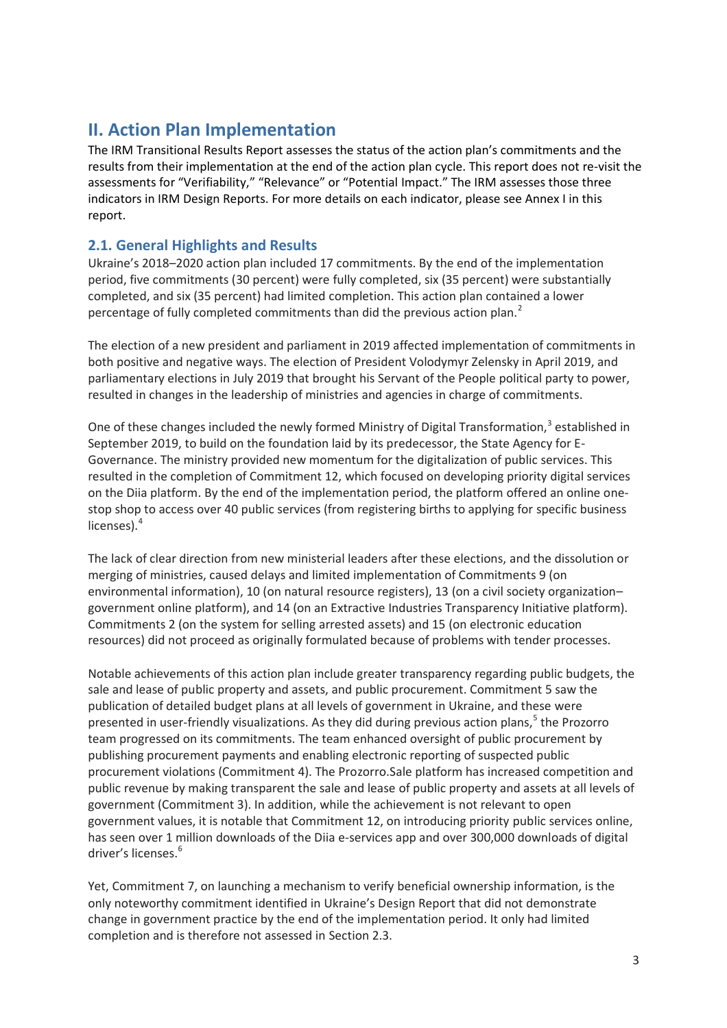# <span id="page-2-0"></span>**II. Action Plan Implementation**

The IRM Transitional Results Report assesses the status of the action plan's commitments and the results from their implementation at the end of the action plan cycle. This report does not re-visit the assessments for "Verifiability," "Relevance" or "Potential Impact." The IRM assesses those three indicators in IRM Design Reports. For more details on each indicator, please see Annex I in this report.

## <span id="page-2-1"></span>**2.1. General Highlights and Results**

Ukraine's 2018–2020 action plan included 17 commitments. By the end of the implementation period, five commitments (30 percent) were fully completed, six (35 percent) were substantially completed, and six (35 percent) had limited completion. This action plan contained a lower percentage of fully completed commitments than did the previous action plan.<sup>2</sup>

The election of a new president and parliament in 2019 affected implementation of commitments in both positive and negative ways. The election of President Volodymyr Zelensky in April 2019, and parliamentary elections in July 2019 that brought his Servant of the People political party to power, resulted in changes in the leadership of ministries and agencies in charge of commitments.

One of these changes included the newly formed Ministry of Digital Transformation,<sup>3</sup> established in September 2019, to build on the foundation laid by its predecessor, the State Agency for E-Governance. The ministry provided new momentum for the digitalization of public services. This resulted in the completion of Commitment 12, which focused on developing priority digital services on the Diia platform. By the end of the implementation period, the platform offered an online onestop shop to access over 40 public services (from registering births to applying for specific business licenses).<sup>4</sup>

The lack of clear direction from new ministerial leaders after these elections, and the dissolution or merging of ministries, caused delays and limited implementation of Commitments 9 (on environmental information), 10 (on natural resource registers), 13 (on a civil society organization– government online platform), and 14 (on an Extractive Industries Transparency Initiative platform). Commitments 2 (on the system for selling arrested assets) and 15 (on electronic education resources) did not proceed as originally formulated because of problems with tender processes.

Notable achievements of this action plan include greater transparency regarding public budgets, the sale and lease of public property and assets, and public procurement. Commitment 5 saw the publication of detailed budget plans at all levels of government in Ukraine, and these were presented in user-friendly visualizations. As they did during previous action plans,<sup>5</sup> the Prozorro team progressed on its commitments. The team enhanced oversight of public procurement by publishing procurement payments and enabling electronic reporting of suspected public procurement violations (Commitment 4). The Prozorro.Sale platform has increased competition and public revenue by making transparent the sale and lease of public property and assets at all levels of government (Commitment 3). In addition, while the achievement is not relevant to open government values, it is notable that Commitment 12, on introducing priority public services online, has seen over 1 million downloads of the Diia e-services app and over 300,000 downloads of digital driver's licenses.<sup>6</sup>

Yet, Commitment 7, on launching a mechanism to verify beneficial ownership information, is the only noteworthy commitment identified in Ukraine's Design Report that did not demonstrate change in government practice by the end of the implementation period. It only had limited completion and is therefore not assessed in Section 2.3.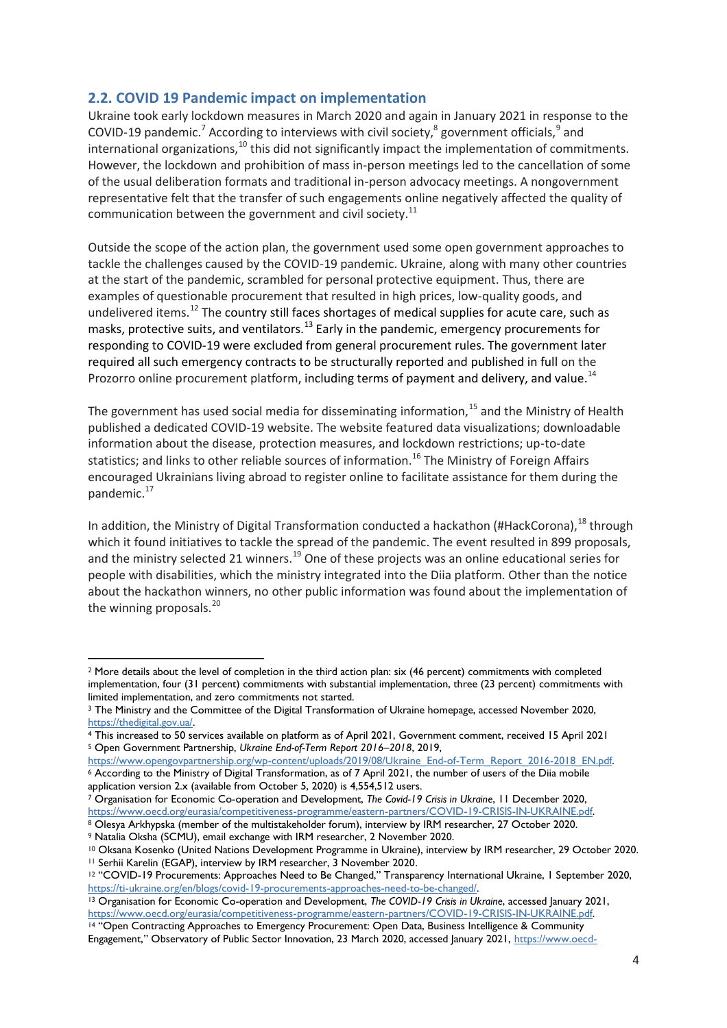## <span id="page-3-0"></span>**2.2. COVID 19 Pandemic impact on implementation**

Ukraine took early lockdown measures in March 2020 and again in January 2021 in response to the COVID-19 pandemic.<sup>7</sup> According to interviews with civil society,<sup>8</sup> government officials,<sup>9</sup> and international organizations, $10$  this did not significantly impact the implementation of commitments. However, the lockdown and prohibition of mass in-person meetings led to the cancellation of some of the usual deliberation formats and traditional in-person advocacy meetings. A nongovernment representative felt that the transfer of such engagements online negatively affected the quality of communication between the government and civil society. $^{11}$ 

Outside the scope of the action plan, the government used some open government approaches to tackle the challenges caused by the COVID-19 pandemic. Ukraine, along with many other countries at the start of the pandemic, scrambled for personal protective equipment. Thus, there are examples of questionable procurement that resulted in high prices, low-quality goods, and undelivered items.<sup>12</sup> The country still faces shortages of medical supplies for acute care, such as masks, protective suits, and ventilators.<sup>13</sup> Early in the pandemic, emergency procurements for responding to COVID-19 were excluded from general procurement rules. The government later required all such emergency contracts to be structurally reported and published in full on the Prozorro online procurement platform, including terms of payment and delivery, and value.<sup>14</sup>

The government has used social media for disseminating information, $15$  and the Ministry of Health published a dedicated COVID-19 website. The website featured data visualizations; downloadable information about the disease, protection measures, and lockdown restrictions; up-to-date statistics; and links to other reliable sources of information.<sup>16</sup> The Ministry of Foreign Affairs encouraged Ukrainians living abroad to register online to facilitate assistance for them during the pandemic.<sup>17</sup>

In addition, the Ministry of Digital Transformation conducted a hackathon (#HackCorona), $^{18}$  through which it found initiatives to tackle the spread of the pandemic. The event resulted in 899 proposals, and the ministry selected 21 winners.<sup>19</sup> One of these projects was an online educational series for people with disabilities, which the ministry integrated into the Diia platform. Other than the notice about the hackathon winners, no other public information was found about the implementation of the winning proposals.<sup>20</sup>

<sup>7</sup> Organisation for Economic Co-operation and Development, *The Covid-19 Crisis in Ukraine*, 11 December 2020, [https://www.oecd.org/eurasia/competitiveness-programme/eastern-partners/COVID-19-CRISIS-IN-UKRAINE.pdf.](https://www.oecd.org/eurasia/competitiveness-programme/eastern-partners/COVID-19-CRISIS-IN-UKRAINE.pdf)

<sup>&</sup>lt;sup>2</sup> More details about the level of completion in the third action plan: six (46 percent) commitments with completed implementation, four (31 percent) commitments with substantial implementation, three (23 percent) commitments with limited implementation, and zero commitments not started.

<sup>3</sup> The Ministry and the Committee of the Digital Transformation of Ukraine homepage, accessed November 2020, [https://thedigital.gov.ua/.](https://thedigital.gov.ua/)

<sup>4</sup> This increased to 50 services available on platform as of April 2021, Government comment, received 15 April 2021 <sup>5</sup> Open Government Partnership, *Ukraine End-of-Term Report 2016–2018*, 2019,

[https://www.opengovpartnership.org/wp-content/uploads/2019/08/Ukraine\\_End-of-Term\\_Report\\_2016-2018\\_EN.pdf.](https://www.opengovpartnership.org/wp-content/uploads/2019/08/Ukraine_End-of-Term_Report_2016-2018_EN.pdf) <sup>6</sup> According to the Ministry of Digital Transformation, as of 7 April 2021, the number of users of the Diia mobile application version 2.x (available from October 5, 2020) is 4,554,512 users.

<sup>8</sup> Olesya Arkhypska (member of the multistakeholder forum), interview by IRM researcher, 27 October 2020. <sup>9</sup> Natalia Oksha (SCMU), email exchange with IRM researcher, 2 November 2020.

<sup>10</sup> Oksana Kosenko (United Nations Development Programme in Ukraine), interview by IRM researcher, 29 October 2020. <sup>11</sup> Serhii Karelin (EGAP), interview by IRM researcher, 3 November 2020.

<sup>&</sup>lt;sup>12</sup> "COVID-19 Procurements: Approaches Need to Be Changed," Transparency International Ukraine, 1 September 2020, [https://ti-ukraine.org/en/blogs/covid-19-procurements-approaches-need-to-be-changed/.](https://ti-ukraine.org/en/blogs/covid-19-procurements-approaches-need-to-be-changed/)

<sup>13</sup> Organisation for Economic Co-operation and Development, *The COVID-19 Crisis in Ukraine*, accessed January 2021, [https://www.oecd.org/eurasia/competitiveness-programme/eastern-partners/COVID-19-CRISIS-IN-UKRAINE.pdf.](https://www.oecd.org/eurasia/competitiveness-programme/eastern-partners/COVID-19-CRISIS-IN-UKRAINE.pdf)

<sup>14</sup> "Open Contracting Approaches to Emergency Procurement: Open Data, Business Intelligence & Community Engagement," Observatory of Public Sector Innovation, 23 March 2020, accessed January 2021, [https://www.oecd-](https://www.oecd-opsi.org/covid-response/open-contracting-approaches-to-emergency-procurement-open-data-business-intelligence-community-engagement/)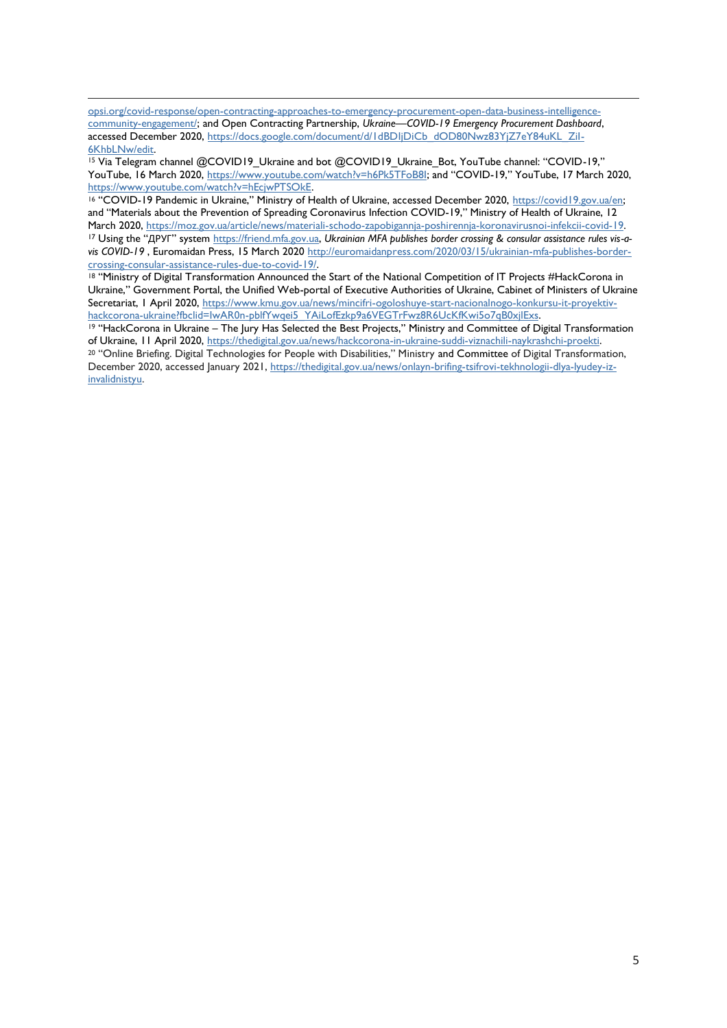[opsi.org/covid-response/open-contracting-approaches-to-emergency-procurement-open-data-business-intelligence](https://www.oecd-opsi.org/covid-response/open-contracting-approaches-to-emergency-procurement-open-data-business-intelligence-community-engagement/)[community-engagement/;](https://www.oecd-opsi.org/covid-response/open-contracting-approaches-to-emergency-procurement-open-data-business-intelligence-community-engagement/) and Open Contracting Partnership, *Ukraine—COVID-19 Emergency Procurement Dashboard*, accessed December 2020, [https://docs.google.com/document/d/1dBDIjDiCb\\_dOD80Nwz83YjZ7eY84uKL\\_ZiI-](https://docs.google.com/document/d/1dBDIjDiCb_dOD80Nwz83YjZ7eY84uKL_ZiI-6KhbLNw/edit)[6KhbLNw/edit.](https://docs.google.com/document/d/1dBDIjDiCb_dOD80Nwz83YjZ7eY84uKL_ZiI-6KhbLNw/edit)

<sup>15</sup> Via Telegram channel @COVID19\_Ukraine and bot @COVID19\_Ukraine\_Bot, YouTube channel: "COVID-19," YouTube, 16 March 2020,<https://www.youtube.com/watch?v=h6Pk5TFoB8I>; and "COVID-19," YouTube, 17 March 2020, [https://www.youtube.com/watch?v=hEcjwPTSOkE.](https://www.youtube.com/watch?v=hEcjwPTSOkE)

<sup>16</sup> "COVID-19 Pandemic in Ukraine," Ministry of Health of Ukraine, accessed December 2020, [https://covid19.gov.ua/en;](https://covid19.gov.ua/en)  and "Materials about the Prevention of Spreading Coronavirus Infection COVID-19," Ministry of Health of Ukraine, 12 March 2020, [https://moz.gov.ua/article/news/materiali-schodo-zapobigannja-poshirennja-koronavirusnoi-infekcii-covid-19.](https://moz.gov.ua/article/news/materiali-schodo-zapobigannja-poshirennja-koronavirusnoi-infekcii-covid-19) <sup>17</sup> Using the "ДРУГ" system [https://friend.mfa.gov.ua,](https://friend.mfa.gov.ua/) *Ukrainian MFA publishes border crossing & consular assistance rules vis-avis COVID-19* , Euromaidan Press, 15 March 2020 [http://euromaidanpress.com/2020/03/15/ukrainian-mfa-publishes-border](http://euromaidanpress.com/2020/03/15/ukrainian-mfa-publishes-border-crossing-consular-assistance-rules-due-to-covid-19/)[crossing-consular-assistance-rules-due-to-covid-19/.](http://euromaidanpress.com/2020/03/15/ukrainian-mfa-publishes-border-crossing-consular-assistance-rules-due-to-covid-19/)

18 "Ministry of Digital Transformation Announced the Start of the National Competition of IT Projects #HackCorona in Ukraine," Government Portal, the Unified Web-portal of Executive Authorities of Ukraine, Cabinet of Ministers of Ukraine Secretariat, 1 April 2020, [https://www.kmu.gov.ua/news/mincifri-ogoloshuye-start-nacionalnogo-konkursu-it-proyektiv](https://www.kmu.gov.ua/news/mincifri-ogoloshuye-start-nacionalnogo-konkursu-it-proyektiv-hackcorona-ukraine?fbclid=IwAR0n-pblfYwqei5_YAiLofEzkp9a6VEGTrFwz8R6UcKfKwi5o7qB0xjlExs)[hackcorona-ukraine?fbclid=IwAR0n-pblfYwqei5\\_YAiLofEzkp9a6VEGTrFwz8R6UcKfKwi5o7qB0xjlExs.](https://www.kmu.gov.ua/news/mincifri-ogoloshuye-start-nacionalnogo-konkursu-it-proyektiv-hackcorona-ukraine?fbclid=IwAR0n-pblfYwqei5_YAiLofEzkp9a6VEGTrFwz8R6UcKfKwi5o7qB0xjlExs)

<sup>19</sup> "HackCorona in Ukraine – The Jury Has Selected the Best Projects," Ministry and Committee of Digital Transformation of Ukraine, 11 April 2020, [https://thedigital.gov.ua/news/hackcorona-in-ukraine-suddi-viznachili-naykrashchi-proekti.](https://thedigital.gov.ua/news/hackcorona-in-ukraine-suddi-viznachili-naykrashchi-proekti)

<sup>20</sup> "Online Briefing. Digital Technologies for People with Disabilities," Ministry and Committee of Digital Transformation, December 2020, accessed January 2021, [https://thedigital.gov.ua/news/onlayn-brifing-tsifrovi-tekhnologii-dlya-lyudey-iz](https://thedigital.gov.ua/news/onlayn-brifing-tsifrovi-tekhnologii-dlya-lyudey-iz-invalidnistyu)[invalidnistyu.](https://thedigital.gov.ua/news/onlayn-brifing-tsifrovi-tekhnologii-dlya-lyudey-iz-invalidnistyu)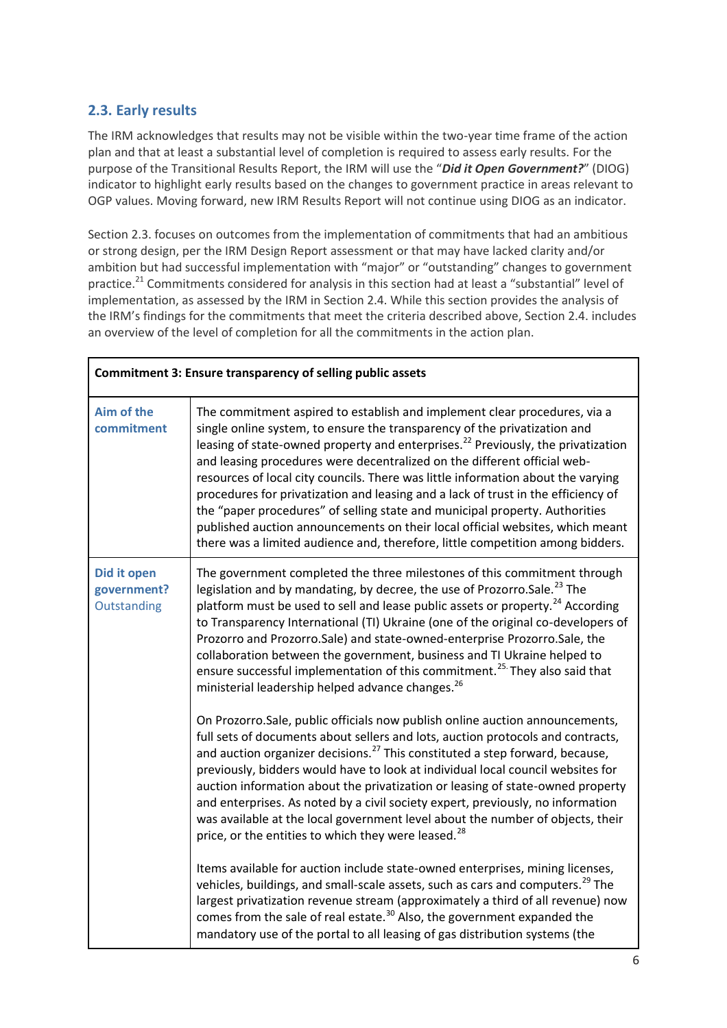## <span id="page-5-0"></span>**2.3. Early results**

The IRM acknowledges that results may not be visible within the two-year time frame of the action plan and that at least a substantial level of completion is required to assess early results. For the purpose of the Transitional Results Report, the IRM will use the "*Did it Open Government?*" (DIOG) indicator to highlight early results based on the changes to government practice in areas relevant to OGP values. Moving forward, new IRM Results Report will not continue using DIOG as an indicator.

Section 2.3. focuses on outcomes from the implementation of commitments that had an ambitious or strong design, per the IRM Design Report assessment or that may have lacked clarity and/or ambition but had successful implementation with "major" or "outstanding" changes to government practice.<sup>21</sup> Commitments considered for analysis in this section had at least a "substantial" level of implementation, as assessed by the IRM in Section 2.4. While this section provides the analysis of the IRM's findings for the commitments that meet the criteria described above, Section 2.4. includes an overview of the level of completion for all the commitments in the action plan.

| Commitment 3: Ensure transparency of selling public assets |                                                                                                                                                                                                                                                                                                                                                                                                                                                                                                                                                                                                                                                                                                                                                               |  |
|------------------------------------------------------------|---------------------------------------------------------------------------------------------------------------------------------------------------------------------------------------------------------------------------------------------------------------------------------------------------------------------------------------------------------------------------------------------------------------------------------------------------------------------------------------------------------------------------------------------------------------------------------------------------------------------------------------------------------------------------------------------------------------------------------------------------------------|--|
| Aim of the<br>commitment                                   | The commitment aspired to establish and implement clear procedures, via a<br>single online system, to ensure the transparency of the privatization and<br>leasing of state-owned property and enterprises. <sup>22</sup> Previously, the privatization<br>and leasing procedures were decentralized on the different official web-<br>resources of local city councils. There was little information about the varying<br>procedures for privatization and leasing and a lack of trust in the efficiency of<br>the "paper procedures" of selling state and municipal property. Authorities<br>published auction announcements on their local official websites, which meant<br>there was a limited audience and, therefore, little competition among bidders. |  |
| <b>Did it open</b><br>government?<br>Outstanding           | The government completed the three milestones of this commitment through<br>legislation and by mandating, by decree, the use of Prozorro.Sale. <sup>23</sup> The<br>platform must be used to sell and lease public assets or property. <sup>24</sup> According<br>to Transparency International (TI) Ukraine (one of the original co-developers of<br>Prozorro and Prozorro.Sale) and state-owned-enterprise Prozorro.Sale, the<br>collaboration between the government, business and TI Ukraine helped to<br>ensure successful implementation of this commitment. <sup>25.</sup> They also said that<br>ministerial leadership helped advance changes. <sup>26</sup>                                                                                         |  |
|                                                            | On Prozorro. Sale, public officials now publish online auction announcements,<br>full sets of documents about sellers and lots, auction protocols and contracts,<br>and auction organizer decisions. <sup>27</sup> This constituted a step forward, because,<br>previously, bidders would have to look at individual local council websites for<br>auction information about the privatization or leasing of state-owned property<br>and enterprises. As noted by a civil society expert, previously, no information<br>was available at the local government level about the number of objects, their<br>price, or the entities to which they were leased. <sup>28</sup>                                                                                     |  |
|                                                            | Items available for auction include state-owned enterprises, mining licenses,<br>vehicles, buildings, and small-scale assets, such as cars and computers. <sup>29</sup> The<br>largest privatization revenue stream (approximately a third of all revenue) now<br>comes from the sale of real estate. <sup>30</sup> Also, the government expanded the<br>mandatory use of the portal to all leasing of gas distribution systems (the                                                                                                                                                                                                                                                                                                                          |  |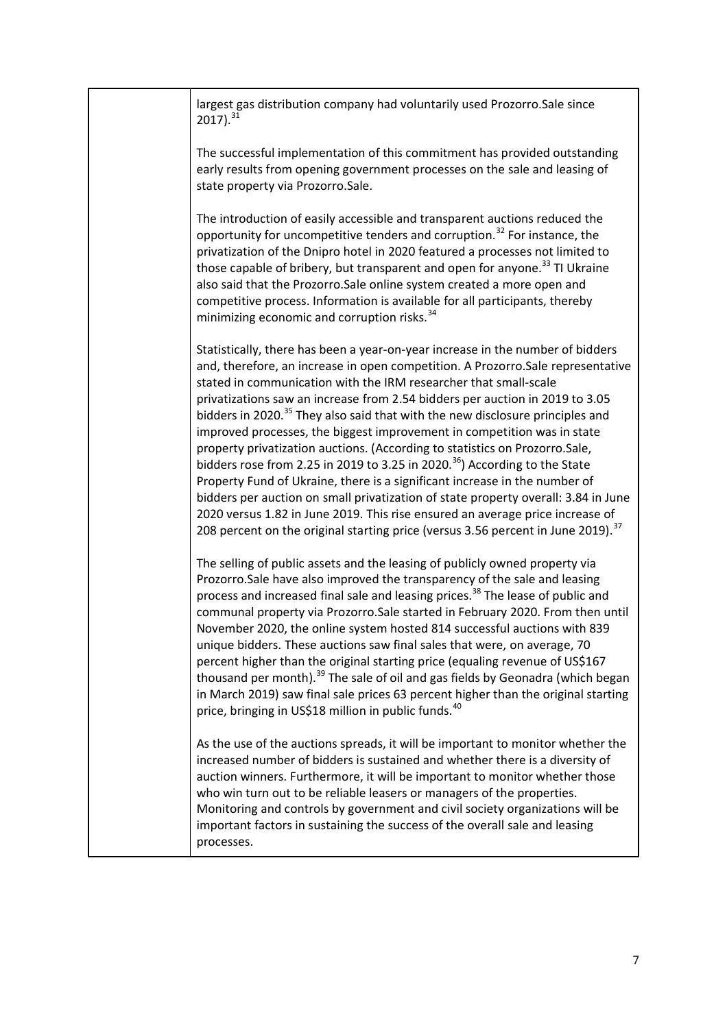| largest gas distribution company had voluntarily used Prozorro. Sale since<br>$2017$ ). $31$                                                                                                                                                                                                                                                                                                                                                                                                                                                                                                                                                                                                                                                                                                                                                                                                                                                                                                                                 |
|------------------------------------------------------------------------------------------------------------------------------------------------------------------------------------------------------------------------------------------------------------------------------------------------------------------------------------------------------------------------------------------------------------------------------------------------------------------------------------------------------------------------------------------------------------------------------------------------------------------------------------------------------------------------------------------------------------------------------------------------------------------------------------------------------------------------------------------------------------------------------------------------------------------------------------------------------------------------------------------------------------------------------|
| The successful implementation of this commitment has provided outstanding<br>early results from opening government processes on the sale and leasing of<br>state property via Prozorro.Sale.                                                                                                                                                                                                                                                                                                                                                                                                                                                                                                                                                                                                                                                                                                                                                                                                                                 |
| The introduction of easily accessible and transparent auctions reduced the<br>opportunity for uncompetitive tenders and corruption. <sup>32</sup> For instance, the<br>privatization of the Dnipro hotel in 2020 featured a processes not limited to<br>those capable of bribery, but transparent and open for anyone. <sup>33</sup> TI Ukraine<br>also said that the Prozorro.Sale online system created a more open and<br>competitive process. Information is available for all participants, thereby<br>minimizing economic and corruption risks. <sup>34</sup>                                                                                                                                                                                                                                                                                                                                                                                                                                                          |
| Statistically, there has been a year-on-year increase in the number of bidders<br>and, therefore, an increase in open competition. A Prozorro. Sale representative<br>stated in communication with the IRM researcher that small-scale<br>privatizations saw an increase from 2.54 bidders per auction in 2019 to 3.05<br>bidders in 2020. <sup>35</sup> They also said that with the new disclosure principles and<br>improved processes, the biggest improvement in competition was in state<br>property privatization auctions. (According to statistics on Prozorro.Sale,<br>bidders rose from 2.25 in 2019 to 3.25 in 2020. <sup>36</sup> ) According to the State<br>Property Fund of Ukraine, there is a significant increase in the number of<br>bidders per auction on small privatization of state property overall: 3.84 in June<br>2020 versus 1.82 in June 2019. This rise ensured an average price increase of<br>208 percent on the original starting price (versus 3.56 percent in June 2019). <sup>37</sup> |
| The selling of public assets and the leasing of publicly owned property via<br>Prozorro.Sale have also improved the transparency of the sale and leasing<br>process and increased final sale and leasing prices. <sup>38</sup> The lease of public and<br>communal property via Prozorro. Sale started in February 2020. From then until<br>November 2020, the online system hosted 814 successful auctions with 839<br>unique bidders. These auctions saw final sales that were, on average, 70<br>percent higher than the original starting price (equaling revenue of US\$167<br>thousand per month). <sup>39</sup> The sale of oil and gas fields by Geonadra (which began<br>in March 2019) saw final sale prices 63 percent higher than the original starting<br>price, bringing in US\$18 million in public funds. <sup>40</sup>                                                                                                                                                                                      |
| As the use of the auctions spreads, it will be important to monitor whether the<br>increased number of bidders is sustained and whether there is a diversity of<br>auction winners. Furthermore, it will be important to monitor whether those<br>who win turn out to be reliable leasers or managers of the properties.<br>Monitoring and controls by government and civil society organizations will be<br>important factors in sustaining the success of the overall sale and leasing<br>processes.                                                                                                                                                                                                                                                                                                                                                                                                                                                                                                                       |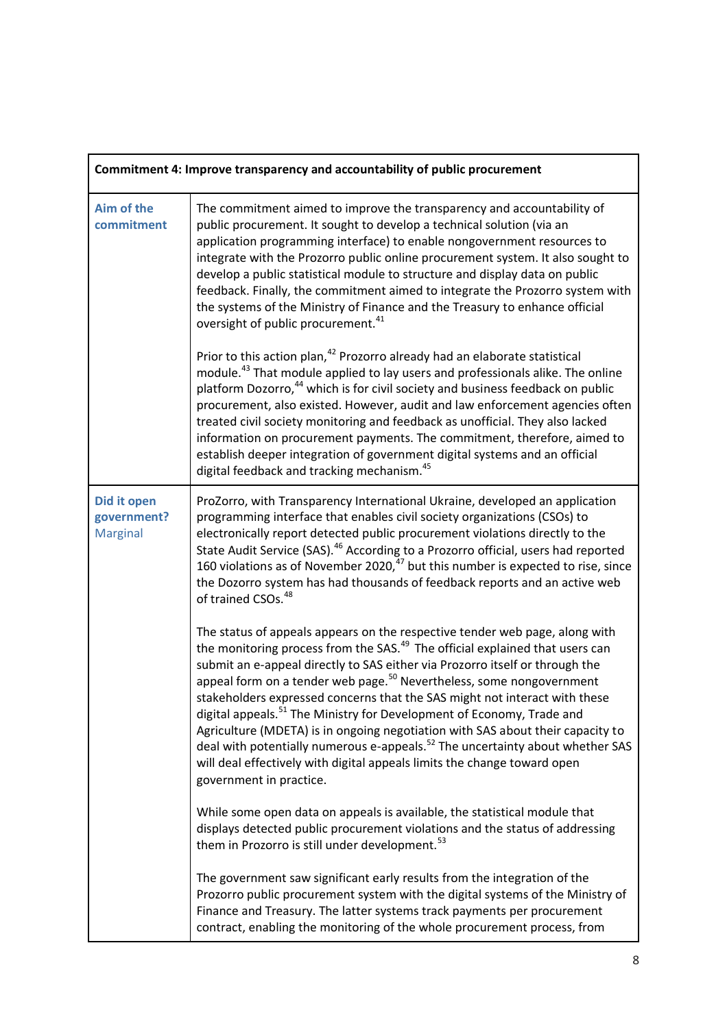| Commitment 4: Improve transparency and accountability of public procurement |                                                                                                                                                                                                                                                                                                                                                                                                                                                                                                                                                                                                                                                                                                                                                                                                      |  |
|-----------------------------------------------------------------------------|------------------------------------------------------------------------------------------------------------------------------------------------------------------------------------------------------------------------------------------------------------------------------------------------------------------------------------------------------------------------------------------------------------------------------------------------------------------------------------------------------------------------------------------------------------------------------------------------------------------------------------------------------------------------------------------------------------------------------------------------------------------------------------------------------|--|
| Aim of the<br>commitment                                                    | The commitment aimed to improve the transparency and accountability of<br>public procurement. It sought to develop a technical solution (via an<br>application programming interface) to enable nongovernment resources to<br>integrate with the Prozorro public online procurement system. It also sought to<br>develop a public statistical module to structure and display data on public<br>feedback. Finally, the commitment aimed to integrate the Prozorro system with<br>the systems of the Ministry of Finance and the Treasury to enhance official<br>oversight of public procurement. <sup>41</sup>                                                                                                                                                                                       |  |
|                                                                             | Prior to this action plan, <sup>42</sup> Prozorro already had an elaborate statistical<br>module. <sup>43</sup> That module applied to lay users and professionals alike. The online<br>platform Dozorro, <sup>44</sup> which is for civil society and business feedback on public<br>procurement, also existed. However, audit and law enforcement agencies often<br>treated civil society monitoring and feedback as unofficial. They also lacked<br>information on procurement payments. The commitment, therefore, aimed to<br>establish deeper integration of government digital systems and an official<br>digital feedback and tracking mechanism. <sup>45</sup>                                                                                                                              |  |
| Did it open<br>government?<br><b>Marginal</b>                               | ProZorro, with Transparency International Ukraine, developed an application<br>programming interface that enables civil society organizations (CSOs) to<br>electronically report detected public procurement violations directly to the<br>State Audit Service (SAS). <sup>46</sup> According to a Prozorro official, users had reported<br>160 violations as of November 2020, <sup>47</sup> but this number is expected to rise, since<br>the Dozorro system has had thousands of feedback reports and an active web<br>of trained CSOs. <sup>48</sup>                                                                                                                                                                                                                                             |  |
|                                                                             | The status of appeals appears on the respective tender web page, along with<br>the monitoring process from the SAS. <sup>49</sup> The official explained that users can<br>submit an e-appeal directly to SAS either via Prozorro itself or through the<br>appeal form on a tender web page. <sup>50</sup> Nevertheless, some nongovernment<br>stakeholders expressed concerns that the SAS might not interact with these<br>digital appeals. <sup>51</sup> The Ministry for Development of Economy, Trade and<br>Agriculture (MDETA) is in ongoing negotiation with SAS about their capacity to<br>deal with potentially numerous e-appeals. <sup>52</sup> The uncertainty about whether SAS<br>will deal effectively with digital appeals limits the change toward open<br>government in practice. |  |
|                                                                             | While some open data on appeals is available, the statistical module that<br>displays detected public procurement violations and the status of addressing<br>them in Prozorro is still under development. <sup>53</sup>                                                                                                                                                                                                                                                                                                                                                                                                                                                                                                                                                                              |  |
|                                                                             | The government saw significant early results from the integration of the<br>Prozorro public procurement system with the digital systems of the Ministry of<br>Finance and Treasury. The latter systems track payments per procurement<br>contract, enabling the monitoring of the whole procurement process, from                                                                                                                                                                                                                                                                                                                                                                                                                                                                                    |  |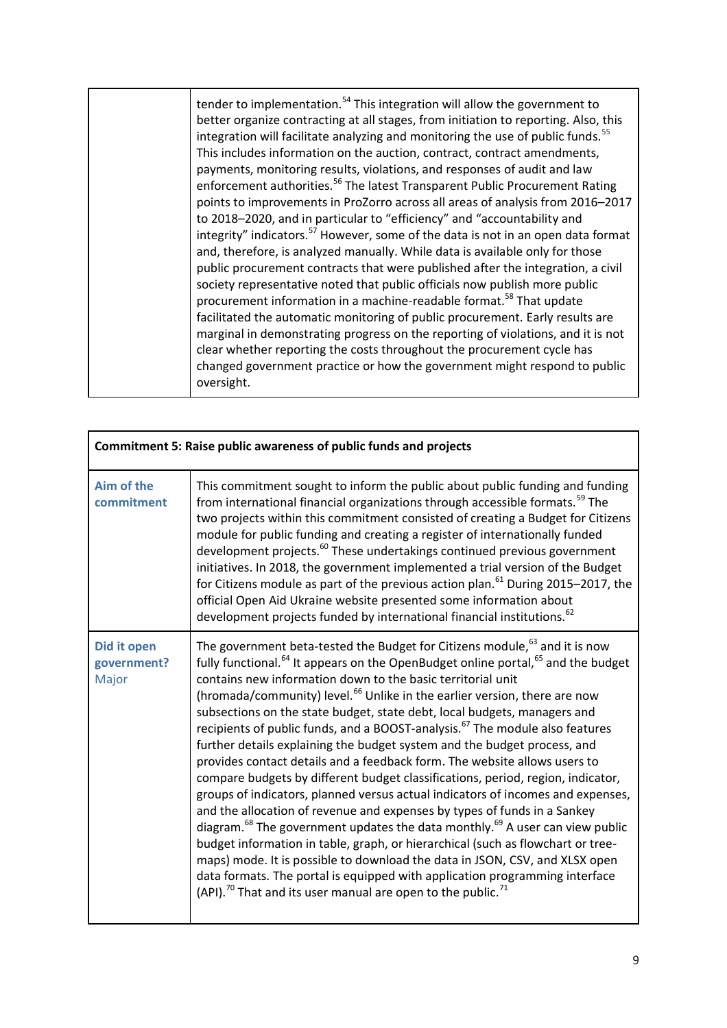|  | tender to implementation. <sup>54</sup> This integration will allow the government to<br>better organize contracting at all stages, from initiation to reporting. Also, this<br>integration will facilitate analyzing and monitoring the use of public funds. <sup>55</sup><br>This includes information on the auction, contract, contract amendments,<br>payments, monitoring results, violations, and responses of audit and law<br>enforcement authorities. <sup>56</sup> The latest Transparent Public Procurement Rating<br>points to improvements in ProZorro across all areas of analysis from 2016-2017<br>to 2018-2020, and in particular to "efficiency" and "accountability and<br>integrity" indicators. <sup>57</sup> However, some of the data is not in an open data format<br>and, therefore, is analyzed manually. While data is available only for those<br>public procurement contracts that were published after the integration, a civil<br>society representative noted that public officials now publish more public<br>procurement information in a machine-readable format. <sup>58</sup> That update<br>facilitated the automatic monitoring of public procurement. Early results are<br>marginal in demonstrating progress on the reporting of violations, and it is not<br>clear whether reporting the costs throughout the procurement cycle has<br>changed government practice or how the government might respond to public<br>oversight. |
|--|---------------------------------------------------------------------------------------------------------------------------------------------------------------------------------------------------------------------------------------------------------------------------------------------------------------------------------------------------------------------------------------------------------------------------------------------------------------------------------------------------------------------------------------------------------------------------------------------------------------------------------------------------------------------------------------------------------------------------------------------------------------------------------------------------------------------------------------------------------------------------------------------------------------------------------------------------------------------------------------------------------------------------------------------------------------------------------------------------------------------------------------------------------------------------------------------------------------------------------------------------------------------------------------------------------------------------------------------------------------------------------------------------------------------------------------------------------------------------|
|--|---------------------------------------------------------------------------------------------------------------------------------------------------------------------------------------------------------------------------------------------------------------------------------------------------------------------------------------------------------------------------------------------------------------------------------------------------------------------------------------------------------------------------------------------------------------------------------------------------------------------------------------------------------------------------------------------------------------------------------------------------------------------------------------------------------------------------------------------------------------------------------------------------------------------------------------------------------------------------------------------------------------------------------------------------------------------------------------------------------------------------------------------------------------------------------------------------------------------------------------------------------------------------------------------------------------------------------------------------------------------------------------------------------------------------------------------------------------------------|

| <b>Commitment 5: Raise public awareness of public funds and projects</b> |                                                                                                                                                                                                                                                                                                                                                                                                                                                                                                                                                                                                                                                                                                                                                                                                                                                                                                                                                                                                                                                                                                                                                                                                                                                                                                                                                                                               |  |
|--------------------------------------------------------------------------|-----------------------------------------------------------------------------------------------------------------------------------------------------------------------------------------------------------------------------------------------------------------------------------------------------------------------------------------------------------------------------------------------------------------------------------------------------------------------------------------------------------------------------------------------------------------------------------------------------------------------------------------------------------------------------------------------------------------------------------------------------------------------------------------------------------------------------------------------------------------------------------------------------------------------------------------------------------------------------------------------------------------------------------------------------------------------------------------------------------------------------------------------------------------------------------------------------------------------------------------------------------------------------------------------------------------------------------------------------------------------------------------------|--|
| Aim of the<br>commitment                                                 | This commitment sought to inform the public about public funding and funding<br>from international financial organizations through accessible formats. <sup>59</sup> The<br>two projects within this commitment consisted of creating a Budget for Citizens<br>module for public funding and creating a register of internationally funded<br>development projects. <sup>60</sup> These undertakings continued previous government<br>initiatives. In 2018, the government implemented a trial version of the Budget<br>for Citizens module as part of the previous action plan. <sup>61</sup> During 2015–2017, the<br>official Open Aid Ukraine website presented some information about<br>development projects funded by international financial institutions. <sup>62</sup>                                                                                                                                                                                                                                                                                                                                                                                                                                                                                                                                                                                                              |  |
| Did it open<br>government?<br>Major                                      | The government beta-tested the Budget for Citizens module, <sup>63</sup> and it is now<br>fully functional. <sup>64</sup> It appears on the OpenBudget online portal, <sup>65</sup> and the budget<br>contains new information down to the basic territorial unit<br>(hromada/community) level. <sup>66</sup> Unlike in the earlier version, there are now<br>subsections on the state budget, state debt, local budgets, managers and<br>recipients of public funds, and a BOOST-analysis. <sup>67</sup> The module also features<br>further details explaining the budget system and the budget process, and<br>provides contact details and a feedback form. The website allows users to<br>compare budgets by different budget classifications, period, region, indicator,<br>groups of indicators, planned versus actual indicators of incomes and expenses,<br>and the allocation of revenue and expenses by types of funds in a Sankey<br>diagram. <sup>68</sup> The government updates the data monthly. <sup>69</sup> A user can view public<br>budget information in table, graph, or hierarchical (such as flowchart or tree-<br>maps) mode. It is possible to download the data in JSON, CSV, and XLSX open<br>data formats. The portal is equipped with application programming interface<br>(API). <sup>70</sup> That and its user manual are open to the public. <sup>71</sup> |  |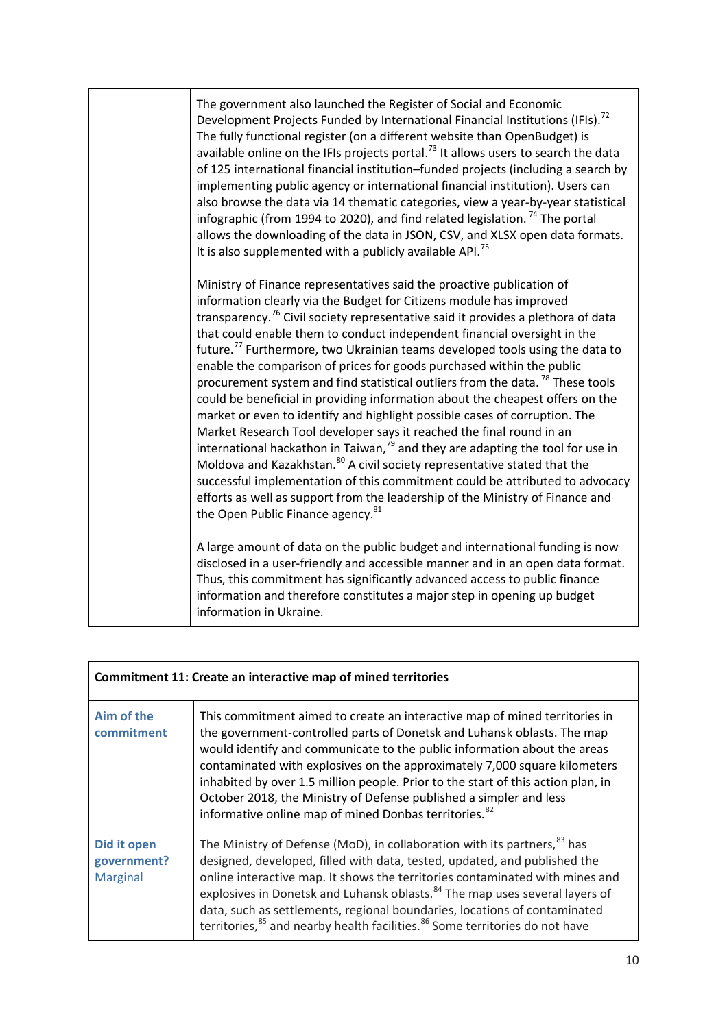| The government also launched the Register of Social and Economic<br>Development Projects Funded by International Financial Institutions (IFIs). <sup>72</sup><br>The fully functional register (on a different website than OpenBudget) is<br>available online on the IFIs projects portal. <sup>73</sup> It allows users to search the data<br>of 125 international financial institution-funded projects (including a search by<br>implementing public agency or international financial institution). Users can<br>also browse the data via 14 thematic categories, view a year-by-year statistical<br>infographic (from 1994 to 2020), and find related legislation. <sup>74</sup> The portal<br>allows the downloading of the data in JSON, CSV, and XLSX open data formats.<br>It is also supplemented with a publicly available API. <sup>75</sup>                                                                                                                                                                                                                                                                                                                                                                                 |
|-------------------------------------------------------------------------------------------------------------------------------------------------------------------------------------------------------------------------------------------------------------------------------------------------------------------------------------------------------------------------------------------------------------------------------------------------------------------------------------------------------------------------------------------------------------------------------------------------------------------------------------------------------------------------------------------------------------------------------------------------------------------------------------------------------------------------------------------------------------------------------------------------------------------------------------------------------------------------------------------------------------------------------------------------------------------------------------------------------------------------------------------------------------------------------------------------------------------------------------------|
| Ministry of Finance representatives said the proactive publication of<br>information clearly via the Budget for Citizens module has improved<br>transparency. <sup>76</sup> Civil society representative said it provides a plethora of data<br>that could enable them to conduct independent financial oversight in the<br>future. <sup>77</sup> Furthermore, two Ukrainian teams developed tools using the data to<br>enable the comparison of prices for goods purchased within the public<br>procurement system and find statistical outliers from the data. <sup>78</sup> These tools<br>could be beneficial in providing information about the cheapest offers on the<br>market or even to identify and highlight possible cases of corruption. The<br>Market Research Tool developer says it reached the final round in an<br>international hackathon in Taiwan, <sup>79</sup> and they are adapting the tool for use in<br>Moldova and Kazakhstan. <sup>80</sup> A civil society representative stated that the<br>successful implementation of this commitment could be attributed to advocacy<br>efforts as well as support from the leadership of the Ministry of Finance and<br>the Open Public Finance agency. <sup>81</sup> |
| A large amount of data on the public budget and international funding is now<br>disclosed in a user-friendly and accessible manner and in an open data format.<br>Thus, this commitment has significantly advanced access to public finance<br>information and therefore constitutes a major step in opening up budget<br>information in Ukraine.                                                                                                                                                                                                                                                                                                                                                                                                                                                                                                                                                                                                                                                                                                                                                                                                                                                                                         |

| Commitment 11: Create an interactive map of mined territories |                                                                                                                                                                                                                                                                                                                                                                                                                                                                                                                                               |
|---------------------------------------------------------------|-----------------------------------------------------------------------------------------------------------------------------------------------------------------------------------------------------------------------------------------------------------------------------------------------------------------------------------------------------------------------------------------------------------------------------------------------------------------------------------------------------------------------------------------------|
| Aim of the<br>commitment                                      | This commitment aimed to create an interactive map of mined territories in<br>the government-controlled parts of Donetsk and Luhansk oblasts. The map<br>would identify and communicate to the public information about the areas<br>contaminated with explosives on the approximately 7,000 square kilometers<br>inhabited by over 1.5 million people. Prior to the start of this action plan, in<br>October 2018, the Ministry of Defense published a simpler and less<br>informative online map of mined Donbas territories. <sup>82</sup> |
| Did it open<br>government?<br><b>Marginal</b>                 | The Ministry of Defense (MoD), in collaboration with its partners, <sup>83</sup> has<br>designed, developed, filled with data, tested, updated, and published the<br>online interactive map. It shows the territories contaminated with mines and<br>explosives in Donetsk and Luhansk oblasts. <sup>84</sup> The map uses several layers of<br>data, such as settlements, regional boundaries, locations of contaminated<br>territories, <sup>85</sup> and nearby health facilities. <sup>86</sup> Some territories do not have              |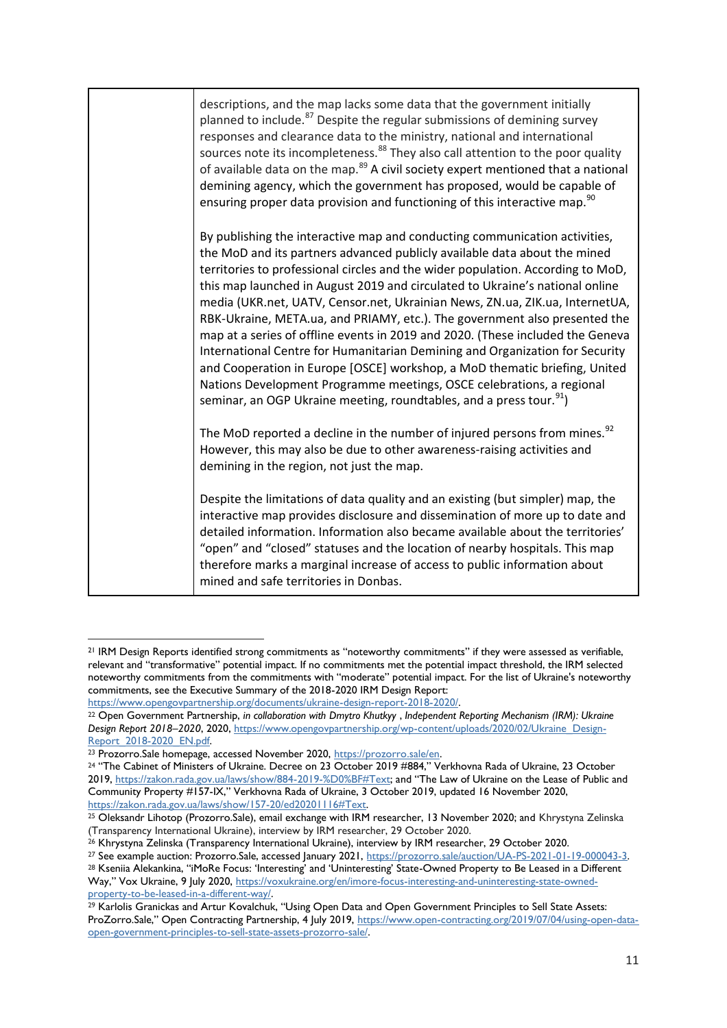| descriptions, and the map lacks some data that the government initially<br>planned to include. <sup>87</sup> Despite the regular submissions of demining survey<br>responses and clearance data to the ministry, national and international<br>sources note its incompleteness. <sup>88</sup> They also call attention to the poor quality<br>of available data on the map. <sup>89</sup> A civil society expert mentioned that a national<br>demining agency, which the government has proposed, would be capable of<br>ensuring proper data provision and functioning of this interactive map. <sup>90</sup>                                                                                                                                                                                                                                                                                       |
|------------------------------------------------------------------------------------------------------------------------------------------------------------------------------------------------------------------------------------------------------------------------------------------------------------------------------------------------------------------------------------------------------------------------------------------------------------------------------------------------------------------------------------------------------------------------------------------------------------------------------------------------------------------------------------------------------------------------------------------------------------------------------------------------------------------------------------------------------------------------------------------------------|
| By publishing the interactive map and conducting communication activities,<br>the MoD and its partners advanced publicly available data about the mined<br>territories to professional circles and the wider population. According to MoD,<br>this map launched in August 2019 and circulated to Ukraine's national online<br>media (UKR.net, UATV, Censor.net, Ukrainian News, ZN.ua, ZIK.ua, InternetUA,<br>RBK-Ukraine, META.ua, and PRIAMY, etc.). The government also presented the<br>map at a series of offline events in 2019 and 2020. (These included the Geneva<br>International Centre for Humanitarian Demining and Organization for Security<br>and Cooperation in Europe [OSCE] workshop, a MoD thematic briefing, United<br>Nations Development Programme meetings, OSCE celebrations, a regional<br>seminar, an OGP Ukraine meeting, roundtables, and a press tour. <sup>91</sup> ) |
| The MoD reported a decline in the number of injured persons from mines. <sup>92</sup><br>However, this may also be due to other awareness-raising activities and<br>demining in the region, not just the map.                                                                                                                                                                                                                                                                                                                                                                                                                                                                                                                                                                                                                                                                                        |
| Despite the limitations of data quality and an existing (but simpler) map, the<br>interactive map provides disclosure and dissemination of more up to date and<br>detailed information. Information also became available about the territories'<br>"open" and "closed" statuses and the location of nearby hospitals. This map<br>therefore marks a marginal increase of access to public information about<br>mined and safe territories in Donbas.                                                                                                                                                                                                                                                                                                                                                                                                                                                |

<sup>21</sup> IRM Design Reports identified strong commitments as "noteworthy commitments" if they were assessed as verifiable, relevant and "transformative" potential impact. If no commitments met the potential impact threshold, the IRM selected noteworthy commitments from the commitments with "moderate" potential impact. For the list of Ukraine's noteworthy commitments, see the Executive Summary of the 2018-2020 IRM Design Report:

[https://www.opengovpartnership.org/documents/ukraine-design-report-2018-2020/.](https://www.opengovpartnership.org/documents/ukraine-design-report-2018-2020/)

<sup>22</sup> Open Government Partnership, *in collaboration with Dmytro Khutkyy* , *Independent Reporting Mechanism (IRM): Ukraine Design Report 2018–2020*, 2020[, https://www.opengovpartnership.org/wp-content/uploads/2020/02/Ukraine\\_Design-](https://www.opengovpartnership.org/wp-content/uploads/2020/02/Ukraine_Design-Report_2018-2020_EN.pdf)[Report\\_2018-2020\\_EN.pdf.](https://www.opengovpartnership.org/wp-content/uploads/2020/02/Ukraine_Design-Report_2018-2020_EN.pdf)

<sup>23</sup> Prozorro.Sale homepage, accessed November 2020, [https://prozorro.sale/en.](https://prozorro.sale/en)

<sup>24</sup> "The Cabinet of Ministers of Ukraine. Decree on 23 October 2019 #884," Verkhovna Rada of Ukraine, 23 October 2019, [https://zakon.rada.gov.ua/laws/show/884-2019-%D0%BF#Text;](https://zakon.rada.gov.ua/laws/show/884-2019-%D0%BF#Text) and "The Law of Ukraine on the Lease of Public and Community Property #157-IX," Verkhovna Rada of Ukraine, 3 October 2019, updated 16 November 2020, [https://zakon.rada.gov.ua/laws/show/157-20/ed20201116#Text.](https://zakon.rada.gov.ua/laws/show/157-20/ed20201116#Text)

<sup>25</sup> Oleksandr Lihotop (Prozorro.Sale), email exchange with IRM researcher, 13 November 2020; and Khrystyna Zelinska (Transparency International Ukraine), interview by IRM researcher, 29 October 2020.

<sup>26</sup> Khrystyna Zelinska (Transparency International Ukraine), interview by IRM researcher, 29 October 2020.

<sup>&</sup>lt;sup>27</sup> See example auction: Prozorro.Sale, accessed January 2021, [https://prozorro.sale/auction/UA-PS-2021-01-19-000043-3.](https://prozorro.sale/auction/UA-PS-2021-01-19-000043-3)

<sup>28</sup> Kseniia Alekankina, "iMoRe Focus: 'Interesting' and 'Uninteresting' State-Owned Property to Be Leased in a Different Way," Vox Ukraine, 9 July 2020, [https://voxukraine.org/en/imore-focus-interesting-and-uninteresting-state-owned](https://voxukraine.org/en/imore-focus-interesting-and-uninteresting-state-owned-property-to-be-leased-in-a-different-way/)[property-to-be-leased-in-a-different-way/.](https://voxukraine.org/en/imore-focus-interesting-and-uninteresting-state-owned-property-to-be-leased-in-a-different-way/)

<sup>29</sup> Karlolis Granickas and Artur Kovalchuk, "Using Open Data and Open Government Principles to Sell State Assets: ProZorro.Sale," Open Contracting Partnership, 4 July 2019, [https://www.open-contracting.org/2019/07/04/using-open-data](https://www.open-contracting.org/2019/07/04/using-open-data-open-government-principles-to-sell-state-assets-prozorro-sale/)[open-government-principles-to-sell-state-assets-prozorro-sale/.](https://www.open-contracting.org/2019/07/04/using-open-data-open-government-principles-to-sell-state-assets-prozorro-sale/)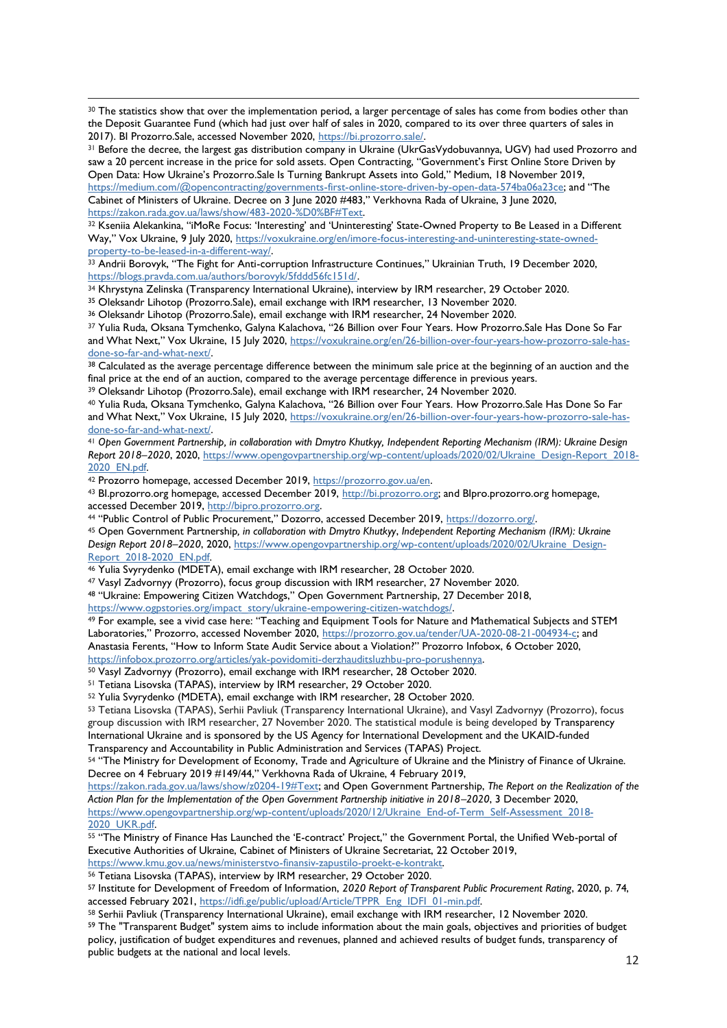<sup>30</sup> The statistics show that over the implementation period, a larger percentage of sales has come from bodies other than the Deposit Guarantee Fund (which had just over half of sales in 2020, compared to its over three quarters of sales in 2017). BI Prozorro.Sale, accessed November 2020, [https://bi.prozorro.sale/.](https://bi.prozorro.sale/)

31 Before the decree, the largest gas distribution company in Ukraine (UkrGasVydobuvannya, UGV) had used Prozorro and saw a 20 percent increase in the price for sold assets. Open Contracting, "Government's First Online Store Driven by Open Data: How Ukraine's Prozorro.Sale Is Turning Bankrupt Assets into Gold," Medium, 18 November 2019, <https://medium.com/@opencontracting/governments-first-online-store-driven-by-open-data-574ba06a23ce>; and "The

Cabinet of Ministers of Ukraine. Decree on 3 June 2020 #483," Verkhovna Rada of Ukraine, 3 June 2020, [https://zakon.rada.gov.ua/laws/show/483-2020-%D0%BF#Text.](https://zakon.rada.gov.ua/laws/show/483-2020-%D0%BF#Text)

32 Kseniia Alekankina, "iMoRe Focus: 'Interesting' and 'Uninteresting' State-Owned Property to Be Leased in a Different Way," Vox Ukraine, 9 July 2020, [https://voxukraine.org/en/imore-focus-interesting-and-uninteresting-state-owned](https://voxukraine.org/en/imore-focus-interesting-and-uninteresting-state-owned-property-to-be-leased-in-a-different-way/)[property-to-be-leased-in-a-different-way/.](https://voxukraine.org/en/imore-focus-interesting-and-uninteresting-state-owned-property-to-be-leased-in-a-different-way/)

<sup>33</sup> Andrii Borovyk, "The Fight for Anti-corruption Infrastructure Continues," Ukrainian Truth, 19 December 2020, [https://blogs.pravda.com.ua/authors/borovyk/5fddd56fc151d/.](https://blogs.pravda.com.ua/authors/borovyk/5fddd56fc151d/)

<sup>34</sup> Khrystyna Zelinska (Transparency International Ukraine), interview by IRM researcher, 29 October 2020.

<sup>35</sup> Oleksandr Lihotop (Prozorro.Sale), email exchange with IRM researcher, 13 November 2020.

<sup>36</sup> Oleksandr Lihotop (Prozorro.Sale), email exchange with IRM researcher, 24 November 2020.

- <sup>37</sup> Yulia Ruda, Oksana Tymchenko, Galyna Kalachova, "26 Billion over Four Years. How Prozorro.Sale Has Done So Far and What Next," Vox Ukraine, 15 July 2020, [https://voxukraine.org/en/26-billion-over-four-years-how-prozorro-sale-has](https://voxukraine.org/en/26-billion-over-four-years-how-prozorro-sale-has-done-so-far-and-what-next/)[done-so-far-and-what-next/.](https://voxukraine.org/en/26-billion-over-four-years-how-prozorro-sale-has-done-so-far-and-what-next/)
- 38 Calculated as the average percentage difference between the minimum sale price at the beginning of an auction and the final price at the end of an auction, compared to the average percentage difference in previous years.

<sup>39</sup> Oleksandr Lihotop (Prozorro.Sale), email exchange with IRM researcher, 24 November 2020.

<sup>40</sup> Yulia Ruda, Oksana Tymchenko, Galyna Kalachova, "26 Billion over Four Years. How Prozorro.Sale Has Done So Far and What Next," Vox Ukraine, 15 July 2020, [https://voxukraine.org/en/26-billion-over-four-years-how-prozorro-sale-has](https://voxukraine.org/en/26-billion-over-four-years-how-prozorro-sale-has-done-so-far-and-what-next/)[done-so-far-and-what-next/.](https://voxukraine.org/en/26-billion-over-four-years-how-prozorro-sale-has-done-so-far-and-what-next/)

<sup>41</sup> *Open Government Partnership, in collaboration with Dmytro Khutkyy, Independent Reporting Mechanism (IRM): Ukraine Design Report 2018–2020*, 2020, [https://www.opengovpartnership.org/wp-content/uploads/2020/02/Ukraine\\_Design-Report\\_2018-](https://www.opengovpartnership.org/wp-content/uploads/2020/02/Ukraine_Design-Report_2018-2020_EN.pdf) [2020\\_EN.pdf.](https://www.opengovpartnership.org/wp-content/uploads/2020/02/Ukraine_Design-Report_2018-2020_EN.pdf)

<sup>42</sup> Prozorro homepage, accessed December 2019, [https://prozorro.gov.ua/en.](https://prozorro.gov.ua/en)

<sup>43</sup> BI.prozorro.org homepage, accessed December 2019, [http://bi.prozorro.org;](http://bi.prozorro.org/) and BIpro.prozorro.org homepage, accessed December 2019, [http://bipro.prozorro.org.](http://bipro.prozorro.org/)

<sup>44</sup> "Public Control of Public Procurement," Dozorro, accessed December 2019, [https://dozorro.org/.](https://dozorro.org/)

<sup>45</sup> Open Government Partnership*, in collaboration with Dmytro Khutkyy*, *Independent Reporting Mechanism (IRM): Ukraine Design Report 2018–2020*, 2020[, https://www.opengovpartnership.org/wp-content/uploads/2020/02/Ukraine\\_Design-](https://www.opengovpartnership.org/wp-content/uploads/2020/02/Ukraine_Design-Report_2018-2020_EN.pdf)[Report\\_2018-2020\\_EN.pdf.](https://www.opengovpartnership.org/wp-content/uploads/2020/02/Ukraine_Design-Report_2018-2020_EN.pdf)

<sup>46</sup> Yulia Svyrydenko (MDETA), email exchange with IRM researcher, 28 October 2020.

<sup>47</sup> Vasyl Zadvornyy (Prozorro), focus group discussion with IRM researcher, 27 November 2020.

<sup>48</sup> "Ukraine: Empowering Citizen Watchdogs," Open Government Partnership, 27 December 2018,

[https://www.ogpstories.org/impact\\_story/ukraine-empowering-citizen-watchdogs/.](https://www.ogpstories.org/impact_story/ukraine-empowering-citizen-watchdogs/)

<sup>49</sup> For example, see a vivid case here: "Teaching and Equipment Tools for Nature and Mathematical Subjects and STEM Laboratories," Prozorro, accessed November 2020, [https://prozorro.gov.ua/tender/UA-2020-08-21-004934-c;](https://prozorro.gov.ua/tender/UA-2020-08-21-004934-c) and Anastasia Ferents, "How to Inform State Audit Service about a Violation?" Prozorro Infobox, 6 October 2020,

[https://infobox.prozorro.org/articles/yak-povidomiti-derzhauditsluzhbu-pro-porushennya.](https://infobox.prozorro.org/articles/yak-povidomiti-derzhauditsluzhbu-pro-porushennya) <sup>50</sup> Vasyl Zadvornyy (Prozorro), email exchange with IRM researcher, 28 October 2020.

<sup>51</sup> Tetiana Lisovska (TAPAS), interview by IRM researcher, 29 October 2020.

<sup>52</sup> Yulia Svyrydenko (MDETA), email exchange with IRM researcher, 28 October 2020.

<sup>53</sup> Tetiana Lisovska (TAPAS), Serhii Pavliuk (Transparency International Ukraine), and Vasyl Zadvornyy (Prozorro), focus group discussion with IRM researcher, 27 November 2020. The statistical module is being developed by Transparency International Ukraine and is sponsored by the US Agency for International Development and the UKAID-funded Transparency and Accountability in Public Administration and Services (TAPAS) Project.

<sup>54</sup> "The Ministry for Development of Economy, Trade and Agriculture of Ukraine and the Ministry of Finance of Ukraine. Decree on 4 February 2019 #149/44," Verkhovna Rada of Ukraine, 4 February 2019,

[https://zakon.rada.gov.ua/laws/show/z0204-19#Text;](https://zakon.rada.gov.ua/laws/show/z0204-19%23Text) and Open Government Partnership, *The Report on the Realization of the Action Plan for the Implementation of the Open Government Partnership initiative in 2018–2020*, 3 December 2020, [https://www.opengovpartnership.org/wp-content/uploads/2020/12/Ukraine\\_End-of-Term\\_Self-Assessment\\_2018-](https://www.opengovpartnership.org/wp-content/uploads/2020/12/Ukraine_End-of-Term_Self-Assessment_2018-2020_UKR.pdf) [2020\\_UKR.pdf.](https://www.opengovpartnership.org/wp-content/uploads/2020/12/Ukraine_End-of-Term_Self-Assessment_2018-2020_UKR.pdf)

55 "The Ministry of Finance Has Launched the 'E-contract' Project," the Government Portal, the Unified Web-portal of Executive Authorities of Ukraine, Cabinet of Ministers of Ukraine Secretariat, 22 October 2019, [https://www.kmu.gov.ua/news/ministerstvo-finansiv-zapustilo-proekt-e-kontrakt.](https://www.kmu.gov.ua/news/ministerstvo-finansiv-zapustilo-proekt-e-kontrakt)

<sup>56</sup> Tetiana Lisovska (TAPAS), interview by IRM researcher, 29 October 2020.

<sup>57</sup> Institute for Development of Freedom of Information, *2020 Report of Transparent Public Procurement Rating*, 2020, p. 74, accessed February 2021, [https://idfi.ge/public/upload/Article/TPPR\\_Eng\\_IDFI\\_01-min.pdf.](https://idfi.ge/public/upload/Article/TPPR_Eng_IDFI_01-min.pdf)

<sup>58</sup> Serhii Pavliuk (Transparency International Ukraine), email exchange with IRM researcher, 12 November 2020.

<sup>59</sup> The "Transparent Budget" system aims to include information about the main goals, objectives and priorities of budget policy, justification of budget expenditures and revenues, planned and achieved results of budget funds, transparency of public budgets at the national and local levels.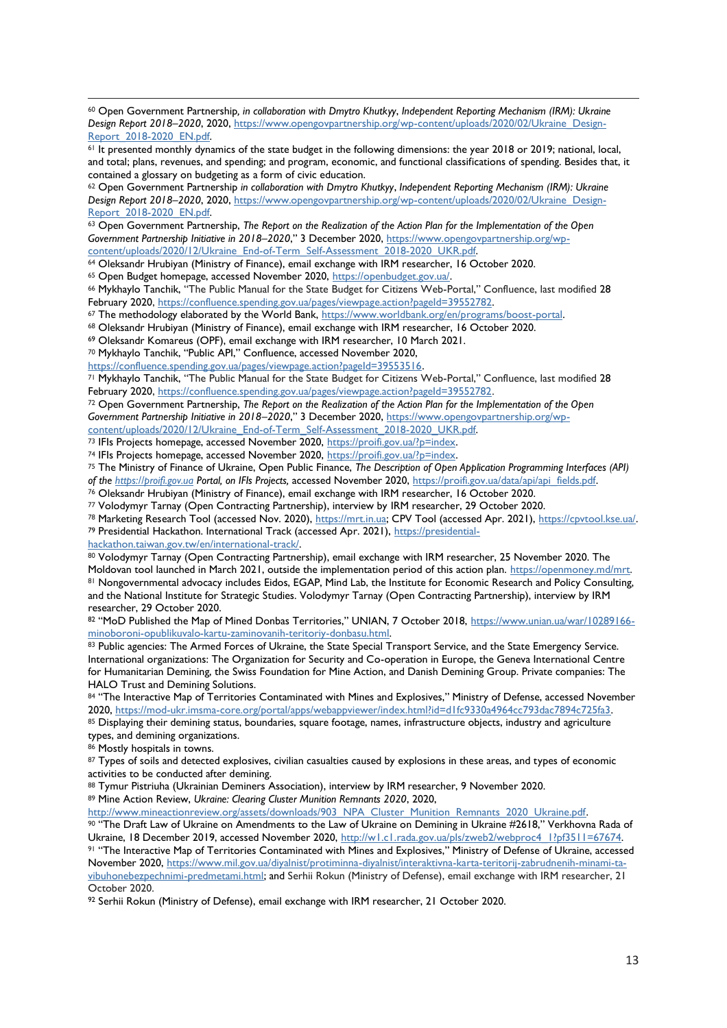<sup>60</sup> Open Government Partnership*, in collaboration with Dmytro Khutkyy*, *Independent Reporting Mechanism (IRM): Ukraine Design Report 2018–2020*, 2020[, https://www.opengovpartnership.org/wp-content/uploads/2020/02/Ukraine\\_Design-](https://www.opengovpartnership.org/wp-content/uploads/2020/02/Ukraine_Design-Report_2018-2020_EN.pdf)[Report\\_2018-2020\\_EN.pdf.](https://www.opengovpartnership.org/wp-content/uploads/2020/02/Ukraine_Design-Report_2018-2020_EN.pdf)

<sup>62</sup> Open Government Partnership *in collaboration with Dmytro Khutkyy*, *Independent Reporting Mechanism (IRM): Ukraine Design Report 2018–2020*, 2020[, https://www.opengovpartnership.org/wp-content/uploads/2020/02/Ukraine\\_Design-](https://www.opengovpartnership.org/wp-content/uploads/2020/02/Ukraine_Design-Report_2018-2020_EN.pdf)[Report\\_2018-2020\\_EN.pdf.](https://www.opengovpartnership.org/wp-content/uploads/2020/02/Ukraine_Design-Report_2018-2020_EN.pdf)

<sup>63</sup> Open Government Partnership, *The Report on the Realization of the Action Plan for the Implementation of the Open Government Partnership Initiative in 2018–2020*," 3 December 2020, [https://www.opengovpartnership.org/wp](https://www.opengovpartnership.org/wp-content/uploads/2020/12/Ukraine_End-of-Term_Self-Assessment_2018-2020_UKR.pdf)[content/uploads/2020/12/Ukraine\\_End-of-Term\\_Self-Assessment\\_2018-2020\\_UKR.pdf.](https://www.opengovpartnership.org/wp-content/uploads/2020/12/Ukraine_End-of-Term_Self-Assessment_2018-2020_UKR.pdf)

<sup>64</sup> Oleksandr Hrubiyan (Ministry of Finance), email exchange with IRM researcher, 16 October 2020.

<sup>65</sup> Open Budget homepage, accessed November 2020, [https://openbudget.gov.ua/.](https://openbudget.gov.ua/)

<sup>66</sup> Mykhaylo Tanchik, "The Public Manual for the State Budget for Citizens Web-Portal," Confluence, last modified 28 February 2020, [https://confluence.spending.gov.ua/pages/viewpage.action?pageId=39552782.](https://confluence.spending.gov.ua/pages/viewpage.action?pageId=39552782)

67 The methodology elaborated by the World Bank, [https://www.worldbank.org/en/programs/boost-portal.](https://www.worldbank.org/en/programs/boost-portal)

<sup>68</sup> Oleksandr Hrubiyan (Ministry of Finance), email exchange with IRM researcher, 16 October 2020.

<sup>69</sup> Oleksandr Komareus (OPF), email exchange with IRM researcher, 10 March 2021.

<sup>70</sup> Mykhaylo Tanchik, "Public API," Confluence, accessed November 2020,

[https://confluence.spending.gov.ua/pages/viewpage.action?pageId=39553516.](https://confluence.spending.gov.ua/pages/viewpage.action?pageId=39553516)

<sup>71</sup> Mykhaylo Tanchik, "The Public Manual for the State Budget for Citizens Web-Portal," Confluence, last modified 28 February 2020, [https://confluence.spending.gov.ua/pages/viewpage.action?pageId=39552782.](https://confluence.spending.gov.ua/pages/viewpage.action?pageId=39552782)

<sup>72</sup> Open Government Partnership, *The Report on the Realization of the Action Plan for the Implementation of the Open Government Partnership Initiative in 2018–2020*," 3 December 2020, [https://www.opengovpartnership.org/wp-](https://www.opengovpartnership.org/wp-content/uploads/2020/12/Ukraine_End-of-Term_Self-Assessment_2018-2020_UKR.pdf)

[content/uploads/2020/12/Ukraine\\_End-of-Term\\_Self-Assessment\\_2018-2020\\_UKR.pdf.](https://www.opengovpartnership.org/wp-content/uploads/2020/12/Ukraine_End-of-Term_Self-Assessment_2018-2020_UKR.pdf)

<sup>73</sup> IFIs Projects homepage, accessed November 2020, [https://proifi.gov.ua/?p=index.](https://proifi.gov.ua/?p=index)

<sup>74</sup> IFIs Projects homepage, accessed November 2020, [https://proifi.gov.ua/?p=index.](https://proifi.gov.ua/?p=index)

<sup>75</sup> The Ministry of Finance of Ukraine, Open Public Finance, *The Description of Open Application Programming Interfaces (API) of the [https://proifi.gov.ua](https://proifi.gov.ua/) Portal, on IFIs Projects,* accessed November 2020[, https://proifi.gov.ua/data/api/api\\_fields.pdf.](https://proifi.gov.ua/data/api/api_fields.pdf)

<sup>76</sup> Oleksandr Hrubiyan (Ministry of Finance), email exchange with IRM researcher, 16 October 2020.

<sup>77</sup> Volodymyr Tarnay (Open Contracting Partnership), interview by IRM researcher, 29 October 2020.

<sup>78</sup> Marketing Research Tool (accessed Nov. 2020), [https://mrt.in.ua;](https://mrt.in.ua/) CPV Tool (accessed Apr. 2021)[, https://cpvtool.kse.ua/.](https://cpvtool.kse.ua/)

<sup>79</sup> Presidential Hackathon. International Track (accessed Apr. 2021), [https://presidential-](https://presidential-hackathon.taiwan.gov.tw/en/international-track/)

[hackathon.taiwan.gov.tw/en/international-track/.](https://presidential-hackathon.taiwan.gov.tw/en/international-track/)

80 Volodymyr Tarnay (Open Contracting Partnership), email exchange with IRM researcher, 25 November 2020. The Moldovan tool launched in March 2021, outside the implementation period of this action plan. [https://openmoney.md/mrt.](https://openmoney.md/mrt) <sup>81</sup> Nongovernmental advocacy includes Eidos, EGAP, Mind Lab, the Institute for Economic Research and Policy Consulting, and the National Institute for Strategic Studies. Volodymyr Tarnay (Open Contracting Partnership), interview by IRM researcher, 29 October 2020.

82 "MoD Published the Map of Mined Donbas Territories," UNIAN, 7 October 2018, [https://www.unian.ua/war/10289166](https://www.unian.ua/war/10289166-minoboroni-opublikuvalo-kartu-zaminovanih-teritoriy-donbasu.html) [minoboroni-opublikuvalo-kartu-zaminovanih-teritoriy-donbasu.html.](https://www.unian.ua/war/10289166-minoboroni-opublikuvalo-kartu-zaminovanih-teritoriy-donbasu.html)

83 Public agencies: The Armed Forces of Ukraine, the State Special Transport Service, and the State Emergency Service. International organizations: The Organization for Security and Co-operation in Europe, the Geneva International Centre for Humanitarian Demining, the Swiss Foundation for Mine Action, and Danish Demining Group. Private companies: The HALO Trust and Demining Solutions.

84 "The Interactive Map of Territories Contaminated with Mines and Explosives," Ministry of Defense, accessed November 2020, [https://mod-ukr.imsma-core.org/portal/apps/webappviewer/index.html?id=d1fc9330a4964cc793dac7894c725fa3.](https://mod-ukr.imsma-core.org/portal/apps/webappviewer/index.html?id=d1fc9330a4964cc793dac7894c725fa3) 85 Displaying their demining status, boundaries, square footage, names, infrastructure objects, industry and agriculture types, and demining organizations.

86 Mostly hospitals in towns.

87 Types of soils and detected explosives, civilian casualties caused by explosions in these areas, and types of economic activities to be conducted after demining.

88 Tymur Pistriuha (Ukrainian Deminers Association), interview by IRM researcher, 9 November 2020. <sup>89</sup> Mine Action Review, *Ukraine: Clearing Cluster Munition Remnants 2020*, 2020,

[http://www.mineactionreview.org/assets/downloads/903\\_NPA\\_Cluster\\_Munition\\_Remnants\\_2020\\_Ukraine.pdf.](http://www.mineactionreview.org/assets/downloads/903_NPA_Cluster_Munition_Remnants_2020_Ukraine.pdf)

90 "The Draft Law of Ukraine on Amendments to the Law of Ukraine on Demining in Ukraine #2618," Verkhovna Rada of Ukraine, 18 December 2019, accessed November 2020, [http://w1.c1.rada.gov.ua/pls/zweb2/webproc4\\_1?pf3511=67674.](http://w1.c1.rada.gov.ua/pls/zweb2/webproc4_1?pf3511=67674) <sup>91</sup> "The Interactive Map of Territories Contaminated with Mines and Explosives," Ministry of Defense of Ukraine, accessed November 2020, [https://www.mil.gov.ua/diyalnist/protiminna-diyalnist/interaktivna-karta-teritorij-zabrudnenih-minami-ta](https://www.mil.gov.ua/diyalnist/protiminna-diyalnist/interaktivna-karta-teritorij-zabrudnenih-minami-ta-vibuhonebezpechnimi-predmetami.html)[vibuhonebezpechnimi-predmetami.html;](https://www.mil.gov.ua/diyalnist/protiminna-diyalnist/interaktivna-karta-teritorij-zabrudnenih-minami-ta-vibuhonebezpechnimi-predmetami.html) and Serhii Rokun (Ministry of Defense), email exchange with IRM researcher, 21 October 2020.

92 Serhii Rokun (Ministry of Defense), email exchange with IRM researcher, 21 October 2020.

<sup>61</sup> It presented monthly dynamics of the state budget in the following dimensions: the year 2018 or 2019; national, local, and total; plans, revenues, and spending; and program, economic, and functional classifications of spending. Besides that, it contained a glossary on budgeting as a form of civic education.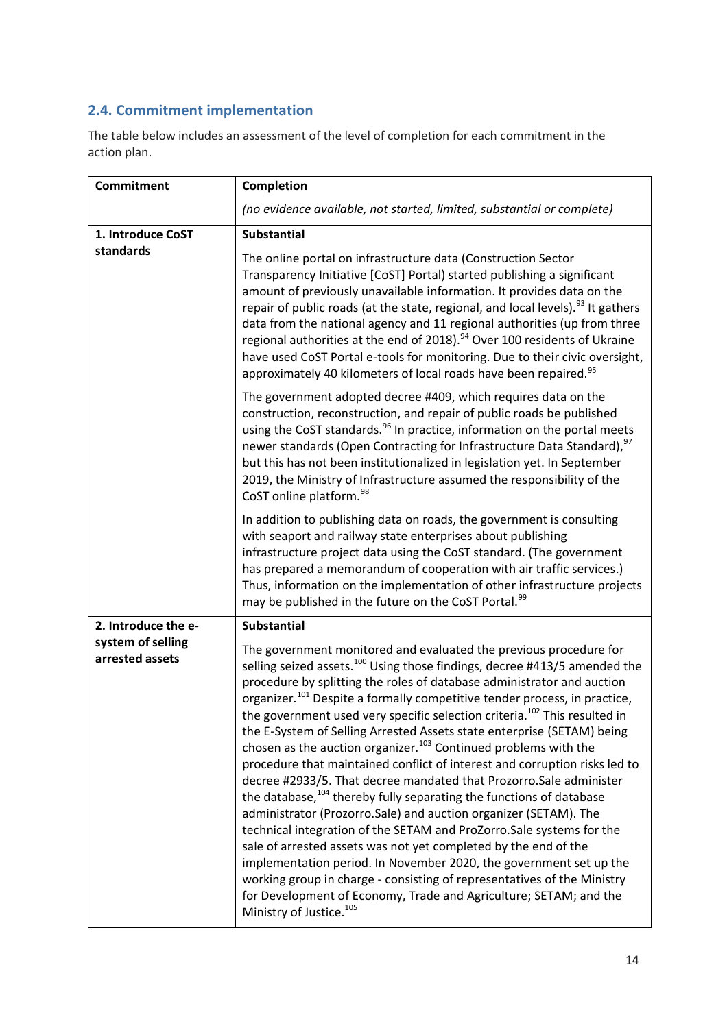## <span id="page-13-0"></span>**2.4. Commitment implementation**

The table below includes an assessment of the level of completion for each commitment in the action plan.

| <b>Commitment</b>                    | Completion                                                                                                                                                                                                                                                                                                                                                                                                                                                                                                                                                                                                                                                                                                                                                                                                                                                                                                                                                                                                                                                                                                                                                                                                                                                                                         |
|--------------------------------------|----------------------------------------------------------------------------------------------------------------------------------------------------------------------------------------------------------------------------------------------------------------------------------------------------------------------------------------------------------------------------------------------------------------------------------------------------------------------------------------------------------------------------------------------------------------------------------------------------------------------------------------------------------------------------------------------------------------------------------------------------------------------------------------------------------------------------------------------------------------------------------------------------------------------------------------------------------------------------------------------------------------------------------------------------------------------------------------------------------------------------------------------------------------------------------------------------------------------------------------------------------------------------------------------------|
|                                      | (no evidence available, not started, limited, substantial or complete)                                                                                                                                                                                                                                                                                                                                                                                                                                                                                                                                                                                                                                                                                                                                                                                                                                                                                                                                                                                                                                                                                                                                                                                                                             |
| 1. Introduce CoST                    | <b>Substantial</b>                                                                                                                                                                                                                                                                                                                                                                                                                                                                                                                                                                                                                                                                                                                                                                                                                                                                                                                                                                                                                                                                                                                                                                                                                                                                                 |
| standards                            | The online portal on infrastructure data (Construction Sector<br>Transparency Initiative [CoST] Portal) started publishing a significant<br>amount of previously unavailable information. It provides data on the<br>repair of public roads (at the state, regional, and local levels). <sup>93</sup> It gathers<br>data from the national agency and 11 regional authorities (up from three<br>regional authorities at the end of 2018). <sup>94</sup> Over 100 residents of Ukraine<br>have used CoST Portal e-tools for monitoring. Due to their civic oversight,<br>approximately 40 kilometers of local roads have been repaired. <sup>95</sup>                                                                                                                                                                                                                                                                                                                                                                                                                                                                                                                                                                                                                                               |
|                                      | The government adopted decree #409, which requires data on the<br>construction, reconstruction, and repair of public roads be published<br>using the CoST standards. <sup>96</sup> In practice, information on the portal meets<br>newer standards (Open Contracting for Infrastructure Data Standard), <sup>97</sup><br>but this has not been institutionalized in legislation yet. In September<br>2019, the Ministry of Infrastructure assumed the responsibility of the<br>CoST online platform. <sup>98</sup>                                                                                                                                                                                                                                                                                                                                                                                                                                                                                                                                                                                                                                                                                                                                                                                 |
|                                      | In addition to publishing data on roads, the government is consulting<br>with seaport and railway state enterprises about publishing<br>infrastructure project data using the CoST standard. (The government<br>has prepared a memorandum of cooperation with air traffic services.)<br>Thus, information on the implementation of other infrastructure projects<br>may be published in the future on the CoST Portal. <sup>99</sup>                                                                                                                                                                                                                                                                                                                                                                                                                                                                                                                                                                                                                                                                                                                                                                                                                                                               |
| 2. Introduce the e-                  | <b>Substantial</b>                                                                                                                                                                                                                                                                                                                                                                                                                                                                                                                                                                                                                                                                                                                                                                                                                                                                                                                                                                                                                                                                                                                                                                                                                                                                                 |
| system of selling<br>arrested assets | The government monitored and evaluated the previous procedure for<br>selling seized assets. <sup>100</sup> Using those findings, decree #413/5 amended the<br>procedure by splitting the roles of database administrator and auction<br>organizer. <sup>101</sup> Despite a formally competitive tender process, in practice,<br>the government used very specific selection criteria. <sup>102</sup> This resulted in<br>the E-System of Selling Arrested Assets state enterprise (SETAM) being<br>chosen as the auction organizer. <sup>103</sup> Continued problems with the<br>procedure that maintained conflict of interest and corruption risks led to<br>decree #2933/5. That decree mandated that Prozorro.Sale administer<br>the database, <sup>104</sup> thereby fully separating the functions of database<br>administrator (Prozorro.Sale) and auction organizer (SETAM). The<br>technical integration of the SETAM and ProZorro.Sale systems for the<br>sale of arrested assets was not yet completed by the end of the<br>implementation period. In November 2020, the government set up the<br>working group in charge - consisting of representatives of the Ministry<br>for Development of Economy, Trade and Agriculture; SETAM; and the<br>Ministry of Justice. <sup>105</sup> |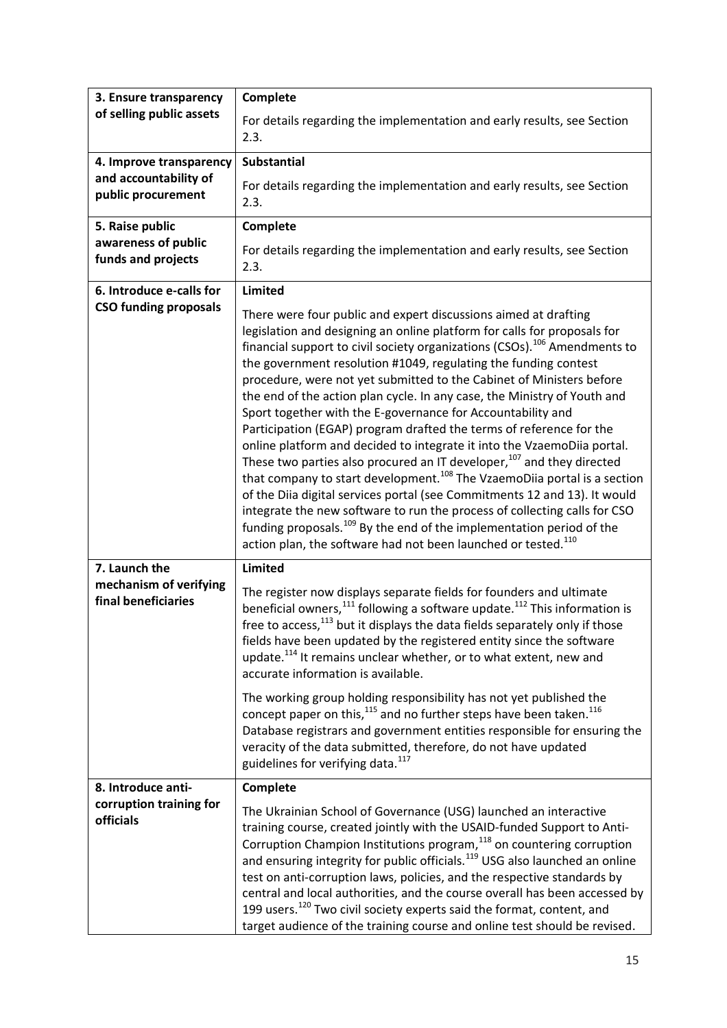| 3. Ensure transparency<br>of selling public assets | Complete                                                                                                                                                                                                                                                                                                                                                                                                                                                                                                                                                                                                                                                                                                                                                                                                                                                                                                                                                                                                                                                                                                                                                                             |
|----------------------------------------------------|--------------------------------------------------------------------------------------------------------------------------------------------------------------------------------------------------------------------------------------------------------------------------------------------------------------------------------------------------------------------------------------------------------------------------------------------------------------------------------------------------------------------------------------------------------------------------------------------------------------------------------------------------------------------------------------------------------------------------------------------------------------------------------------------------------------------------------------------------------------------------------------------------------------------------------------------------------------------------------------------------------------------------------------------------------------------------------------------------------------------------------------------------------------------------------------|
|                                                    | For details regarding the implementation and early results, see Section<br>2.3.                                                                                                                                                                                                                                                                                                                                                                                                                                                                                                                                                                                                                                                                                                                                                                                                                                                                                                                                                                                                                                                                                                      |
| 4. Improve transparency                            | <b>Substantial</b>                                                                                                                                                                                                                                                                                                                                                                                                                                                                                                                                                                                                                                                                                                                                                                                                                                                                                                                                                                                                                                                                                                                                                                   |
| and accountability of<br>public procurement        | For details regarding the implementation and early results, see Section<br>2.3.                                                                                                                                                                                                                                                                                                                                                                                                                                                                                                                                                                                                                                                                                                                                                                                                                                                                                                                                                                                                                                                                                                      |
| 5. Raise public                                    | Complete                                                                                                                                                                                                                                                                                                                                                                                                                                                                                                                                                                                                                                                                                                                                                                                                                                                                                                                                                                                                                                                                                                                                                                             |
| awareness of public<br>funds and projects          | For details regarding the implementation and early results, see Section<br>2.3.                                                                                                                                                                                                                                                                                                                                                                                                                                                                                                                                                                                                                                                                                                                                                                                                                                                                                                                                                                                                                                                                                                      |
| 6. Introduce e-calls for                           | Limited                                                                                                                                                                                                                                                                                                                                                                                                                                                                                                                                                                                                                                                                                                                                                                                                                                                                                                                                                                                                                                                                                                                                                                              |
| <b>CSO funding proposals</b>                       | There were four public and expert discussions aimed at drafting<br>legislation and designing an online platform for calls for proposals for<br>financial support to civil society organizations (CSOs). <sup>106</sup> Amendments to<br>the government resolution #1049, regulating the funding contest<br>procedure, were not yet submitted to the Cabinet of Ministers before<br>the end of the action plan cycle. In any case, the Ministry of Youth and<br>Sport together with the E-governance for Accountability and<br>Participation (EGAP) program drafted the terms of reference for the<br>online platform and decided to integrate it into the VzaemoDiia portal.<br>These two parties also procured an IT developer, <sup>107</sup> and they directed<br>that company to start development. <sup>108</sup> The VzaemoDiia portal is a section<br>of the Diia digital services portal (see Commitments 12 and 13). It would<br>integrate the new software to run the process of collecting calls for CSO<br>funding proposals. <sup>109</sup> By the end of the implementation period of the<br>action plan, the software had not been launched or tested. <sup>110</sup> |
| 7. Launch the                                      | Limited                                                                                                                                                                                                                                                                                                                                                                                                                                                                                                                                                                                                                                                                                                                                                                                                                                                                                                                                                                                                                                                                                                                                                                              |
| mechanism of verifying<br>final beneficiaries      | The register now displays separate fields for founders and ultimate<br>beneficial owners, <sup>111</sup> following a software update. <sup>112</sup> This information is<br>free to access, <sup>113</sup> but it displays the data fields separately only if those<br>fields have been updated by the registered entity since the software<br>update. <sup>114</sup> It remains unclear whether, or to what extent, new and<br>accurate information is available.<br>The working group holding responsibility has not yet published the<br>concept paper on this, $115$ and no further steps have been taken. $116$<br>Database registrars and government entities responsible for ensuring the<br>veracity of the data submitted, therefore, do not have updated                                                                                                                                                                                                                                                                                                                                                                                                                   |
|                                                    | guidelines for verifying data. <sup>117</sup>                                                                                                                                                                                                                                                                                                                                                                                                                                                                                                                                                                                                                                                                                                                                                                                                                                                                                                                                                                                                                                                                                                                                        |
| 8. Introduce anti-                                 | Complete                                                                                                                                                                                                                                                                                                                                                                                                                                                                                                                                                                                                                                                                                                                                                                                                                                                                                                                                                                                                                                                                                                                                                                             |
| corruption training for<br>officials               | The Ukrainian School of Governance (USG) launched an interactive<br>training course, created jointly with the USAID-funded Support to Anti-<br>Corruption Champion Institutions program, <sup>118</sup> on countering corruption<br>and ensuring integrity for public officials. <sup>119</sup> USG also launched an online<br>test on anti-corruption laws, policies, and the respective standards by<br>central and local authorities, and the course overall has been accessed by<br>199 users. <sup>120</sup> Two civil society experts said the format, content, and<br>target audience of the training course and online test should be revised.                                                                                                                                                                                                                                                                                                                                                                                                                                                                                                                               |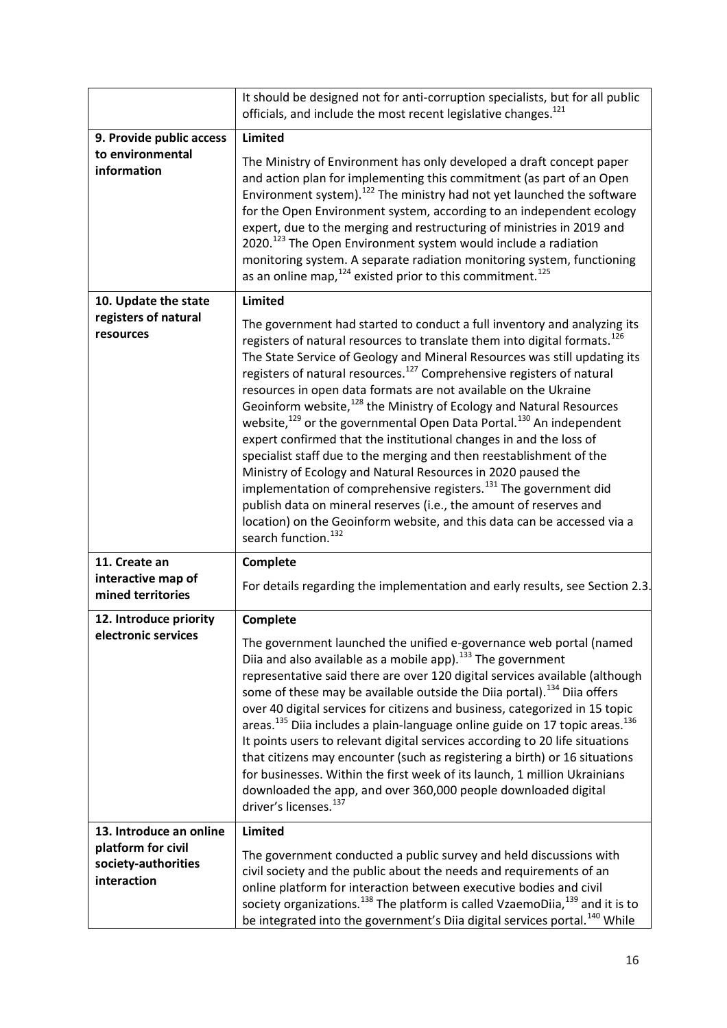|                                                          | It should be designed not for anti-corruption specialists, but for all public<br>officials, and include the most recent legislative changes. <sup>121</sup>                                                                                                                                                                                                                                                                                                                                                                                                                                                                                                                                                                                                                                                                                                                                                                                                                                                                                                               |
|----------------------------------------------------------|---------------------------------------------------------------------------------------------------------------------------------------------------------------------------------------------------------------------------------------------------------------------------------------------------------------------------------------------------------------------------------------------------------------------------------------------------------------------------------------------------------------------------------------------------------------------------------------------------------------------------------------------------------------------------------------------------------------------------------------------------------------------------------------------------------------------------------------------------------------------------------------------------------------------------------------------------------------------------------------------------------------------------------------------------------------------------|
| 9. Provide public access                                 | <b>Limited</b>                                                                                                                                                                                                                                                                                                                                                                                                                                                                                                                                                                                                                                                                                                                                                                                                                                                                                                                                                                                                                                                            |
| to environmental<br>information                          | The Ministry of Environment has only developed a draft concept paper<br>and action plan for implementing this commitment (as part of an Open<br>Environment system). <sup>122</sup> The ministry had not yet launched the software<br>for the Open Environment system, according to an independent ecology<br>expert, due to the merging and restructuring of ministries in 2019 and<br>2020. <sup>123</sup> The Open Environment system would include a radiation<br>monitoring system. A separate radiation monitoring system, functioning<br>as an online map, $^{124}$ existed prior to this commitment. $^{125}$                                                                                                                                                                                                                                                                                                                                                                                                                                                     |
| 10. Update the state                                     | <b>Limited</b>                                                                                                                                                                                                                                                                                                                                                                                                                                                                                                                                                                                                                                                                                                                                                                                                                                                                                                                                                                                                                                                            |
| registers of natural<br>resources                        | The government had started to conduct a full inventory and analyzing its<br>registers of natural resources to translate them into digital formats. <sup>126</sup><br>The State Service of Geology and Mineral Resources was still updating its<br>registers of natural resources. <sup>127</sup> Comprehensive registers of natural<br>resources in open data formats are not available on the Ukraine<br>Geoinform website, <sup>128</sup> the Ministry of Ecology and Natural Resources<br>website, <sup>129</sup> or the governmental Open Data Portal. <sup>130</sup> An independent<br>expert confirmed that the institutional changes in and the loss of<br>specialist staff due to the merging and then reestablishment of the<br>Ministry of Ecology and Natural Resources in 2020 paused the<br>implementation of comprehensive registers. <sup>131</sup> The government did<br>publish data on mineral reserves (i.e., the amount of reserves and<br>location) on the Geoinform website, and this data can be accessed via a<br>search function. <sup>132</sup> |
| 11. Create an                                            | Complete                                                                                                                                                                                                                                                                                                                                                                                                                                                                                                                                                                                                                                                                                                                                                                                                                                                                                                                                                                                                                                                                  |
| interactive map of<br>mined territories                  | For details regarding the implementation and early results, see Section 2.3.                                                                                                                                                                                                                                                                                                                                                                                                                                                                                                                                                                                                                                                                                                                                                                                                                                                                                                                                                                                              |
| 12. Introduce priority                                   | Complete                                                                                                                                                                                                                                                                                                                                                                                                                                                                                                                                                                                                                                                                                                                                                                                                                                                                                                                                                                                                                                                                  |
| electronic services                                      | The government launched the unified e-governance web portal (named<br>Diia and also available as a mobile app). <sup>133</sup> The government<br>representative said there are over 120 digital services available (although<br>some of these may be available outside the Diia portal). <sup>134</sup> Diia offers<br>over 40 digital services for citizens and business, categorized in 15 topic<br>areas. <sup>135</sup> Diia includes a plain-language online guide on 17 topic areas. <sup>136</sup><br>It points users to relevant digital services according to 20 life situations<br>that citizens may encounter (such as registering a birth) or 16 situations<br>for businesses. Within the first week of its launch, 1 million Ukrainians<br>downloaded the app, and over 360,000 people downloaded digital<br>driver's licenses. <sup>137</sup>                                                                                                                                                                                                               |
| 13. Introduce an online                                  | Limited                                                                                                                                                                                                                                                                                                                                                                                                                                                                                                                                                                                                                                                                                                                                                                                                                                                                                                                                                                                                                                                                   |
| platform for civil<br>society-authorities<br>interaction | The government conducted a public survey and held discussions with<br>civil society and the public about the needs and requirements of an<br>online platform for interaction between executive bodies and civil<br>society organizations. <sup>138</sup> The platform is called VzaemoDiia, <sup>139</sup> and it is to<br>be integrated into the government's Diia digital services portal. <sup>140</sup> While                                                                                                                                                                                                                                                                                                                                                                                                                                                                                                                                                                                                                                                         |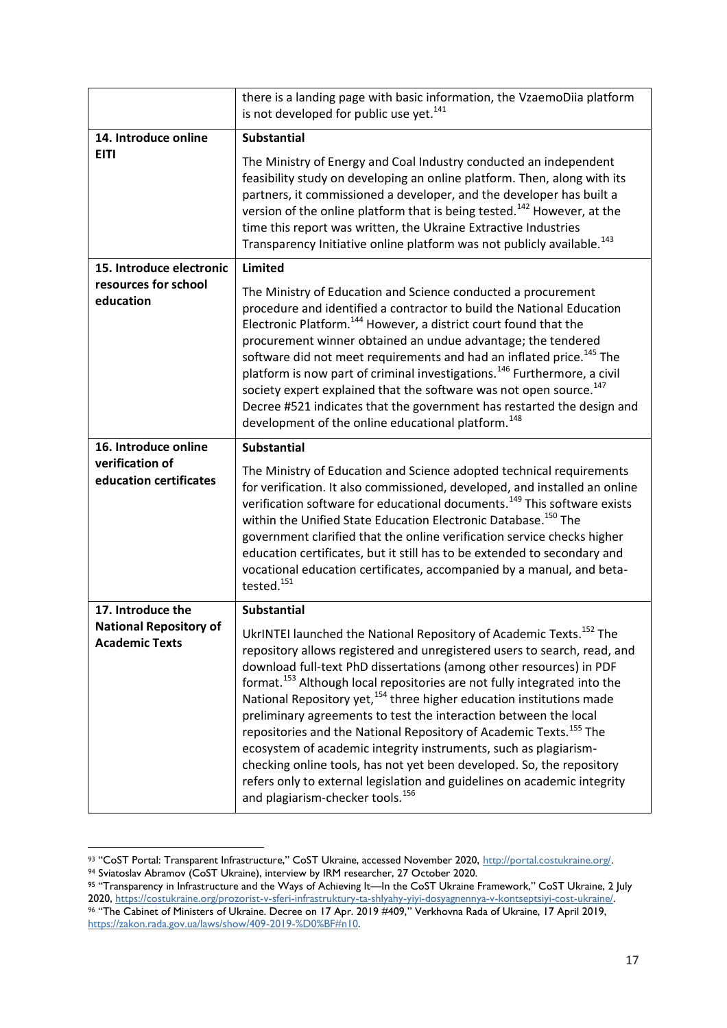|                                                        | there is a landing page with basic information, the VzaemoDiia platform<br>is not developed for public use yet. <sup>141</sup>                                                                                                                                                                                                                                                                                                                                                                                                                                                                                                                                                                                                                                                                                                                |
|--------------------------------------------------------|-----------------------------------------------------------------------------------------------------------------------------------------------------------------------------------------------------------------------------------------------------------------------------------------------------------------------------------------------------------------------------------------------------------------------------------------------------------------------------------------------------------------------------------------------------------------------------------------------------------------------------------------------------------------------------------------------------------------------------------------------------------------------------------------------------------------------------------------------|
| 14. Introduce online                                   | <b>Substantial</b>                                                                                                                                                                                                                                                                                                                                                                                                                                                                                                                                                                                                                                                                                                                                                                                                                            |
| <b>EITI</b>                                            | The Ministry of Energy and Coal Industry conducted an independent<br>feasibility study on developing an online platform. Then, along with its<br>partners, it commissioned a developer, and the developer has built a<br>version of the online platform that is being tested. <sup>142</sup> However, at the<br>time this report was written, the Ukraine Extractive Industries<br>Transparency Initiative online platform was not publicly available. <sup>143</sup>                                                                                                                                                                                                                                                                                                                                                                         |
| 15. Introduce electronic                               | <b>Limited</b>                                                                                                                                                                                                                                                                                                                                                                                                                                                                                                                                                                                                                                                                                                                                                                                                                                |
| resources for school<br>education                      | The Ministry of Education and Science conducted a procurement<br>procedure and identified a contractor to build the National Education<br>Electronic Platform. <sup>144</sup> However, a district court found that the<br>procurement winner obtained an undue advantage; the tendered<br>software did not meet requirements and had an inflated price. <sup>145</sup> The<br>platform is now part of criminal investigations. <sup>146</sup> Furthermore, a civil<br>society expert explained that the software was not open source. <sup>147</sup><br>Decree #521 indicates that the government has restarted the design and<br>development of the online educational platform. <sup>148</sup>                                                                                                                                              |
| 16. Introduce online                                   | <b>Substantial</b>                                                                                                                                                                                                                                                                                                                                                                                                                                                                                                                                                                                                                                                                                                                                                                                                                            |
| verification of<br>education certificates              | The Ministry of Education and Science adopted technical requirements<br>for verification. It also commissioned, developed, and installed an online<br>verification software for educational documents. <sup>149</sup> This software exists<br>within the Unified State Education Electronic Database. <sup>150</sup> The<br>government clarified that the online verification service checks higher<br>education certificates, but it still has to be extended to secondary and<br>vocational education certificates, accompanied by a manual, and beta-<br>tested. <sup>151</sup>                                                                                                                                                                                                                                                            |
| 17. Introduce the                                      | <b>Substantial</b>                                                                                                                                                                                                                                                                                                                                                                                                                                                                                                                                                                                                                                                                                                                                                                                                                            |
| <b>National Repository of</b><br><b>Academic Texts</b> | UkrINTEI launched the National Repository of Academic Texts. <sup>152</sup> The<br>repository allows registered and unregistered users to search, read, and<br>download full-text PhD dissertations (among other resources) in PDF<br>format. <sup>153</sup> Although local repositories are not fully integrated into the<br>National Repository yet, <sup>154</sup> three higher education institutions made<br>preliminary agreements to test the interaction between the local<br>repositories and the National Repository of Academic Texts. <sup>155</sup> The<br>ecosystem of academic integrity instruments, such as plagiarism-<br>checking online tools, has not yet been developed. So, the repository<br>refers only to external legislation and guidelines on academic integrity<br>and plagiarism-checker tools. <sup>156</sup> |

<sup>93 &</sup>quot;CoST Portal: Transparent Infrastructure," CoST Ukraine, accessed November 2020, [http://portal.costukraine.org/.](http://portal.costukraine.org/)

<sup>94</sup> Sviatoslav Abramov (CoST Ukraine), interview by IRM researcher, 27 October 2020.

<sup>95 &</sup>quot;Transparency in Infrastructure and the Ways of Achieving It—In the CoST Ukraine Framework," CoST Ukraine, 2 July 2020, [https://costukraine.org/prozorist-v-sferi-infrastruktury-ta-shlyahy-yiyi-dosyagnennya-v-kontseptsiyi-cost-ukraine/.](https://costukraine.org/prozorist-v-sferi-infrastruktury-ta-shlyahy-yiyi-dosyagnennya-v-kontseptsiyi-cost-ukraine/)

<sup>96</sup> "The Cabinet of Ministers of Ukraine. Decree on 17 Apr. 2019 #409," Verkhovna Rada of Ukraine, 17 April 2019, [https://zakon.rada.gov.ua/laws/show/409-2019-%D0%BF#n10.](https://zakon.rada.gov.ua/laws/show/409-2019-%D0%BF#n10)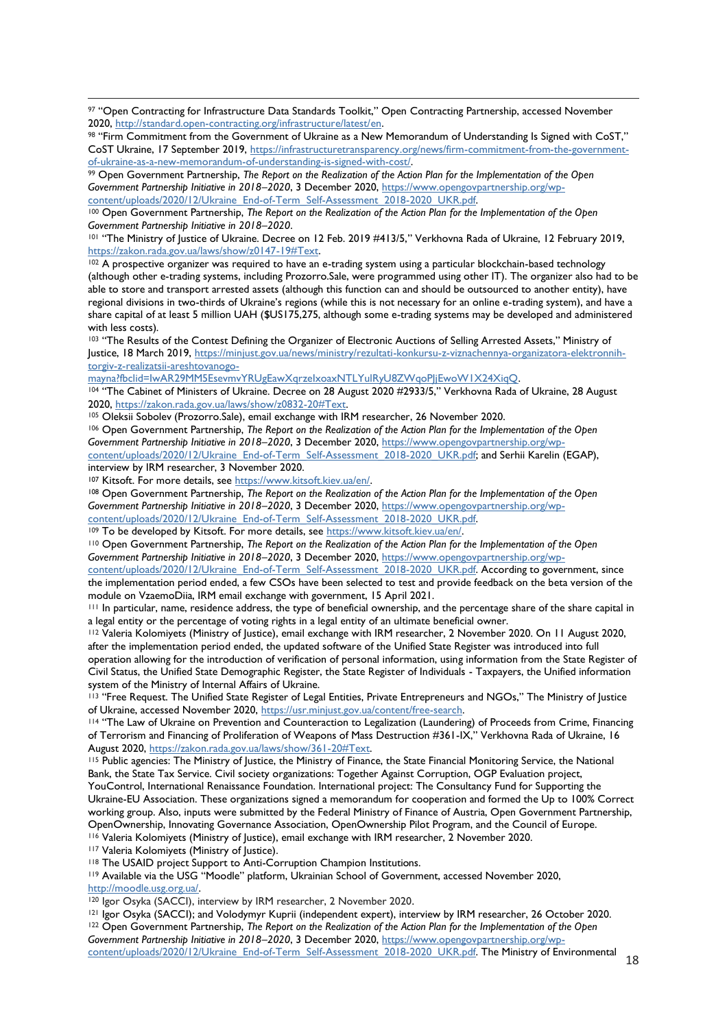97 "Open Contracting for Infrastructure Data Standards Toolkit," Open Contracting Partnership, accessed November 2020, [http://standard.open-contracting.org/infrastructure/latest/en.](http://standard.open-contracting.org/infrastructure/latest/en)

<sup>98</sup> "Firm Commitment from the Government of Ukraine as a New Memorandum of Understanding Is Signed with CoST," CoST Ukraine, 17 September 2019, [https://infrastructuretransparency.org/news/firm-commitment-from-the-government](https://infrastructuretransparency.org/news/firm-commitment-from-the-government-of-ukraine-as-a-new-memorandum-of-understanding-is-signed-with-cost/)[of-ukraine-as-a-new-memorandum-of-understanding-is-signed-with-cost/.](https://infrastructuretransparency.org/news/firm-commitment-from-the-government-of-ukraine-as-a-new-memorandum-of-understanding-is-signed-with-cost/)

<sup>99</sup> Open Government Partnership, *The Report on the Realization of the Action Plan for the Implementation of the Open Government Partnership Initiative in 2018–2020*, 3 December 2020[, https://www.opengovpartnership.org/wp](https://www.opengovpartnership.org/wp-content/uploads/2020/12/Ukraine_End-of-Term_Self-Assessment_2018-2020_UKR.pdf)[content/uploads/2020/12/Ukraine\\_End-of-Term\\_Self-Assessment\\_2018-2020\\_UKR.pdf.](https://www.opengovpartnership.org/wp-content/uploads/2020/12/Ukraine_End-of-Term_Self-Assessment_2018-2020_UKR.pdf)

<sup>100</sup> Open Government Partnership, *The Report on the Realization of the Action Plan for the Implementation of the Open Government Partnership Initiative in 2018–2020*.

<sup>101</sup> "The Ministry of Justice of Ukraine. Decree on 12 Feb. 2019 #413/5," Verkhovna Rada of Ukraine, 12 February 2019, [https://zakon.rada.gov.ua/laws/show/z0147-19#Text.](https://zakon.rada.gov.ua/laws/show/z0147-19#Text)

<sup>102</sup> A prospective organizer was required to have an e-trading system using a particular blockchain-based technology (although other e-trading systems, including Prozorro.Sale, were programmed using other IT). The organizer also had to be able to store and transport arrested assets (although this function can and should be outsourced to another entity), have regional divisions in two-thirds of Ukraine's regions (while this is not necessary for an online e-trading system), and have a share capital of at least 5 million UAH (\$US175,275, although some e-trading systems may be developed and administered with less costs).

103 "The Results of the Contest Defining the Organizer of Electronic Auctions of Selling Arrested Assets," Ministry of Justice, 18 March 2019, [https://minjust.gov.ua/news/ministry/rezultati-konkursu-z-viznachennya-organizatora-elektronnih](https://minjust.gov.ua/news/ministry/rezultati-konkursu-z-viznachennya-organizatora-elektronnih-torgiv-z-realizatsii-areshtovanogo-mayna?fbclid=IwAR29MM5EsevmvYRUgEawXqrzeIxoaxNTLYulRyU8ZWqoPJjEwoW1X24XiqQ)[torgiv-z-realizatsii-areshtovanogo-](https://minjust.gov.ua/news/ministry/rezultati-konkursu-z-viznachennya-organizatora-elektronnih-torgiv-z-realizatsii-areshtovanogo-mayna?fbclid=IwAR29MM5EsevmvYRUgEawXqrzeIxoaxNTLYulRyU8ZWqoPJjEwoW1X24XiqQ)

[mayna?fbclid=IwAR29MM5EsevmvYRUgEawXqrzeIxoaxNTLYulRyU8ZWqoPJjEwoW1X24XiqQ.](https://minjust.gov.ua/news/ministry/rezultati-konkursu-z-viznachennya-organizatora-elektronnih-torgiv-z-realizatsii-areshtovanogo-mayna?fbclid=IwAR29MM5EsevmvYRUgEawXqrzeIxoaxNTLYulRyU8ZWqoPJjEwoW1X24XiqQ)

<sup>104</sup> "The Cabinet of Ministers of Ukraine. Decree on 28 August 2020 #2933/5," Verkhovna Rada of Ukraine, 28 August 2020, [https://zakon.rada.gov.ua/laws/show/z0832-20#Text.](https://zakon.rada.gov.ua/laws/show/z0832-20#Text)

105 Oleksii Sobolev (Prozorro.Sale), email exchange with IRM researcher, 26 November 2020.

<sup>106</sup> Open Government Partnership, *The Report on the Realization of the Action Plan for the Implementation of the Open Government Partnership Initiative in 2018–2020*, 3 December 2020[, https://www.opengovpartnership.org/wp](https://www.opengovpartnership.org/wp-content/uploads/2020/12/Ukraine_End-of-Term_Self-Assessment_2018-2020_UKR.pdf)[content/uploads/2020/12/Ukraine\\_End-of-Term\\_Self-Assessment\\_2018-2020\\_UKR.pdf;](https://www.opengovpartnership.org/wp-content/uploads/2020/12/Ukraine_End-of-Term_Self-Assessment_2018-2020_UKR.pdf) and Serhii Karelin (EGAP), interview by IRM researcher, 3 November 2020.

<sup>107</sup> Kitsoft. For more details, see [https://www.kitsoft.kiev.ua/en/.](https://www.kitsoft.kiev.ua/en/) 

<sup>108</sup> Open Government Partnership, *The Report on the Realization of the Action Plan for the Implementation of the Open Government Partnership Initiative in 2018–2020*, 3 December 2020[, https://www.opengovpartnership.org/wp](https://www.opengovpartnership.org/wp-content/uploads/2020/12/Ukraine_End-of-Term_Self-Assessment_2018-2020_UKR.pdf)[content/uploads/2020/12/Ukraine\\_End-of-Term\\_Self-Assessment\\_2018-2020\\_UKR.pdf.](https://www.opengovpartnership.org/wp-content/uploads/2020/12/Ukraine_End-of-Term_Self-Assessment_2018-2020_UKR.pdf)

<sup>109</sup> To be developed by Kitsoft. For more details, see [https://www.kitsoft.kiev.ua/en/.](https://www.kitsoft.kiev.ua/en/) 

<sup>110</sup> Open Government Partnership, *The Report on the Realization of the Action Plan for the Implementation of the Open Government Partnership Initiative in 2018–2020*, 3 December 2020[, https://www.opengovpartnership.org/wp-](https://www.opengovpartnership.org/wp-content/uploads/2020/12/Ukraine_End-of-Term_Self-Assessment_2018-2020_UKR.pdf)

[content/uploads/2020/12/Ukraine\\_End-of-Term\\_Self-Assessment\\_2018-2020\\_UKR.pdf.](https://www.opengovpartnership.org/wp-content/uploads/2020/12/Ukraine_End-of-Term_Self-Assessment_2018-2020_UKR.pdf) According to government, since the implementation period ended, a few CSOs have been selected to test and provide feedback on the beta version of the module on VzaemoDiia, IRM email exchange with government, 15 April 2021.

<sup>111</sup> In particular, name, residence address, the type of beneficial ownership, and the percentage share of the share capital in a legal entity or the percentage of voting rights in a legal entity of an ultimate beneficial owner.

<sup>112</sup> Valeria Kolomiyets (Ministry of Justice), email exchange with IRM researcher, 2 November 2020. On 11 August 2020, after the implementation period ended, the updated software of the Unified State Register was introduced into full operation allowing for the introduction of verification of personal information, using information from the State Register of Civil Status, the Unified State Demographic Register, the State Register of Individuals - Taxpayers, the Unified information system of the Ministry of Internal Affairs of Ukraine.

<sup>113</sup> "Free Request. The Unified State Register of Legal Entities, Private Entrepreneurs and NGOs," The Ministry of Justice of Ukraine, accessed November 2020, [https://usr.minjust.gov.ua/content/free-search.](https://usr.minjust.gov.ua/content/free-search)

<sup>114</sup> "The Law of Ukraine on Prevention and Counteraction to Legalization (Laundering) of Proceeds from Crime, Financing of Terrorism and Financing of Proliferation of Weapons of Mass Destruction #361-IX," Verkhovna Rada of Ukraine, 16 August 2020, [https://zakon.rada.gov.ua/laws/show/361-20#Text.](https://zakon.rada.gov.ua/laws/show/361-20#Text)

<sup>115</sup> Public agencies: The Ministry of Justice, the Ministry of Finance, the State Financial Monitoring Service, the National Bank, the State Tax Service. Civil society organizations: Together Against Corruption, OGP Evaluation project, YouControl, International Renaissance Foundation. International project: The Consultancy Fund for Supporting the Ukraine-EU Association. These organizations signed a memorandum for cooperation and formed the Up to 100% Correct working group. Also, inputs were submitted by the Federal Ministry of Finance of Austria, Open Government Partnership, OpenOwnership, Innovating Governance Association, OpenOwnership Pilot Program, and the Council of Europe.

<sup>116</sup> Valeria Kolomiyets (Ministry of Justice), email exchange with IRM researcher, 2 November 2020.

117 Valeria Kolomiyets (Ministry of Justice).

<sup>118</sup> The USAID project Support to Anti-Corruption Champion Institutions.

<sup>119</sup> Available via the USG "Moodle" platform, Ukrainian School of Government, accessed November 2020, [http://moodle.usg.org.ua/.](http://moodle.usg.org.ua/)

<sup>121</sup> Igor Osyka (SACCI); and Volodymyr Kuprii (independent expert), interview by IRM researcher, 26 October 2020. <sup>122</sup> Open Government Partnership, *The Report on the Realization of the Action Plan for the Implementation of the Open Government Partnership Initiative in 2018–2020*, 3 December 2020[, https://www.opengovpartnership.org/wp](https://www.opengovpartnership.org/wp-content/uploads/2020/12/Ukraine_End-of-Term_Self-Assessment_2018-2020_UKR.pdf)[content/uploads/2020/12/Ukraine\\_End-of-Term\\_Self-Assessment\\_2018-2020\\_UKR.pdf.](https://www.opengovpartnership.org/wp-content/uploads/2020/12/Ukraine_End-of-Term_Self-Assessment_2018-2020_UKR.pdf) The Ministry of Environmental

<sup>120</sup> Igor Osyka (SACCI), interview by IRM researcher, 2 November 2020.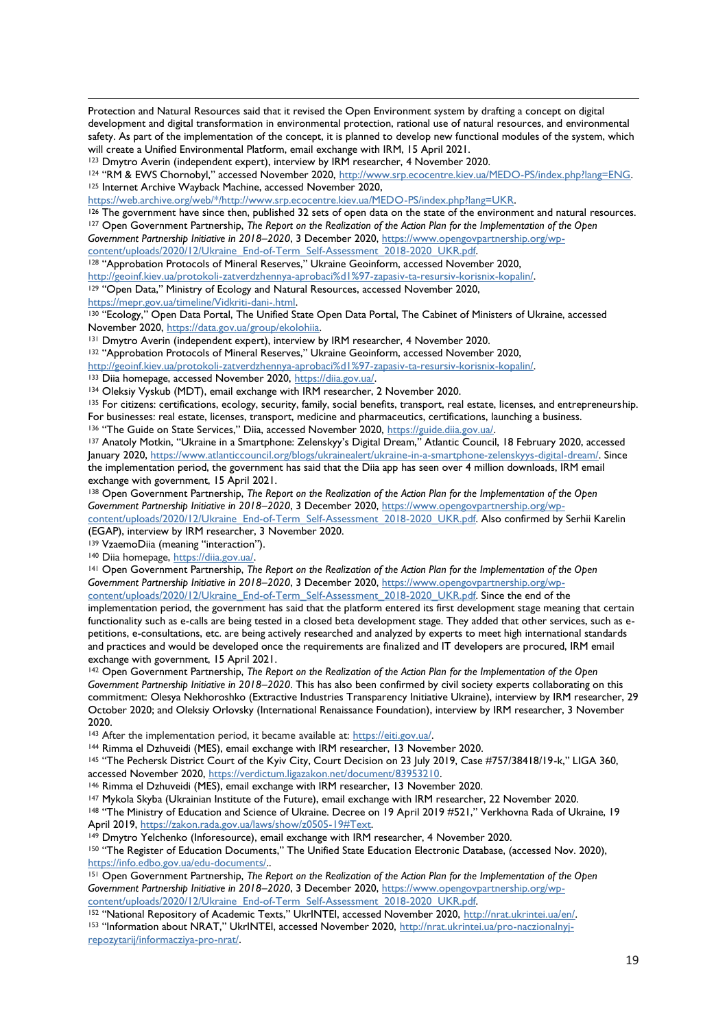Protection and Natural Resources said that it revised the Open Environment system by drafting a concept on digital development and digital transformation in environmental protection, rational use of natural resources, and environmental safety. As part of the implementation of the concept, it is planned to develop new functional modules of the system, which will create a Unified Environmental Platform, email exchange with IRM, 15 April 2021.

<sup>123</sup> Dmytro Averin (independent expert), interview by IRM researcher, 4 November 2020.

<sup>124</sup> "RM & EWS Chornobyl," accessed November 2020, [http://www.srp.ecocentre.kiev.ua/MEDO-PS/index.php?lang=ENG.](http://www.srp.ecocentre.kiev.ua/MEDO-PS/index.php?lang=ENG) <sup>125</sup> Internet Archive Wayback Machine, accessed November 2020,

[https://web.archive.org/web/\\*/http://www.srp.ecocentre.kiev.ua/MEDO-PS/index.php?lang=UKR.](https://web.archive.org/web/*/http:/www.srp.ecocentre.kiev.ua/MEDO-PS/index.php?lang=UKR)

<sup>126</sup> The government have since then, published 32 sets of open data on the state of the environment and natural resources. <sup>127</sup> Open Government Partnership, *The Report on the Realization of the Action Plan for the Implementation of the Open Government Partnership Initiative in 2018–2020*, 3 December 2020[, https://www.opengovpartnership.org/wp-](https://www.opengovpartnership.org/wp-content/uploads/2020/12/Ukraine_End-of-Term_Self-Assessment_2018-2020_UKR.pdf)

[content/uploads/2020/12/Ukraine\\_End-of-Term\\_Self-Assessment\\_2018-2020\\_UKR.pdf.](https://www.opengovpartnership.org/wp-content/uploads/2020/12/Ukraine_End-of-Term_Self-Assessment_2018-2020_UKR.pdf)

<sup>128</sup> "Approbation Protocols of Mineral Reserves," Ukraine Geoinform, accessed November 2020,

[http://geoinf.kiev.ua/protokoli-zatverdzhennya-aprobaci%d1%97-zapasiv-ta-resursiv-korisnix-kopalin/.](http://geoinf.kiev.ua/protokoli-zatverdzhennya-aprobaci%d1%97-zapasiv-ta-resursiv-korisnix-kopalin/)

<sup>129</sup> "Open Data," Ministry of Ecology and Natural Resources, accessed November 2020, https://mepr.gov.ua/timeline/Vidkriti-dani-.html.

130 "Ecology," Open Data Portal, The Unified State Open Data Portal, The Cabinet of Ministers of Ukraine, accessed November 2020, [https://data.gov.ua/group/ekolohiia.](https://data.gov.ua/group/ekolohiia)

<sup>131</sup> Dmytro Averin (independent expert), interview by IRM researcher, 4 November 2020.

<sup>132</sup> "Approbation Protocols of Mineral Reserves," Ukraine Geoinform, accessed November 2020,

[http://geoinf.kiev.ua/protokoli-zatverdzhennya-aprobaci%d1%97-zapasiv-ta-resursiv-korisnix-kopalin/.](http://geoinf.kiev.ua/protokoli-zatverdzhennya-aprobaci%d1%97-zapasiv-ta-resursiv-korisnix-kopalin/) 

133 Diia homepage, accessed November 2020, [https://diia.gov.ua/.](https://diia.gov.ua/)

134 Oleksiy Vyskub (MDT), email exchange with IRM researcher, 2 November 2020.

<sup>135</sup> For citizens: certifications, ecology, security, family, social benefits, transport, real estate, licenses, and entrepreneurship. For businesses: real estate, licenses, transport, medicine and pharmaceutics, certifications, launching a business. 136 "The Guide on State Services," Diia, accessed November 2020, [https://guide.diia.gov.ua/.](https://guide.diia.gov.ua/)

<sup>137</sup> Anatoly Motkin, "Ukraine in a Smartphone: Zelenskyy's Digital Dream," Atlantic Council, 18 February 2020, accessed January 2020, [https://www.atlanticcouncil.org/blogs/ukrainealert/ukraine-in-a-smartphone-zelenskyys-digital-dream/.](https://www.atlanticcouncil.org/blogs/ukrainealert/ukraine-in-a-smartphone-zelenskyys-digital-dream/) Since the implementation period, the government has said that the Diia app has seen over 4 million downloads, IRM email exchange with government, 15 April 2021.

<sup>138</sup> Open Government Partnership, *The Report on the Realization of the Action Plan for the Implementation of the Open Government Partnership Initiative in 2018–2020*, 3 December 2020[, https://www.opengovpartnership.org/wp](https://www.opengovpartnership.org/wp-content/uploads/2020/12/Ukraine_End-of-Term_Self-Assessment_2018-2020_UKR.pdf)[content/uploads/2020/12/Ukraine\\_End-of-Term\\_Self-Assessment\\_2018-2020\\_UKR.pdf.](https://www.opengovpartnership.org/wp-content/uploads/2020/12/Ukraine_End-of-Term_Self-Assessment_2018-2020_UKR.pdf) Also confirmed by Serhii Karelin (EGAP), interview by IRM researcher, 3 November 2020.

<sup>139</sup> VzaemoDiia (meaning "interaction").

140 Diia homepage, [https://diia.gov.ua/.](https://diia.gov.ua/)

<sup>141</sup> Open Government Partnership, The Report on the Realization of the Action Plan for the Implementation of the Open *Government Partnership Initiative in 2018–2020*, 3 December 2020[, https://www.opengovpartnership.org/wp-](https://www.opengovpartnership.org/wp-content/uploads/2020/12/Ukraine_End-of-Term_Self-Assessment_2018-2020_UKR.pdf)

[content/uploads/2020/12/Ukraine\\_End-of-Term\\_Self-Assessment\\_2018-2020\\_UKR.pdf.](https://www.opengovpartnership.org/wp-content/uploads/2020/12/Ukraine_End-of-Term_Self-Assessment_2018-2020_UKR.pdf) Since the end of the

implementation period, the government has said that the platform entered its first development stage meaning that certain functionality such as e-calls are being tested in a closed beta development stage. They added that other services, such as epetitions, e-consultations, etc. are being actively researched and analyzed by experts to meet high international standards and practices and would be developed once the requirements are finalized and IT developers are procured, IRM email exchange with government, 15 April 2021.

<sup>142</sup> Open Government Partnership, *The Report on the Realization of the Action Plan for the Implementation of the Open Government Partnership Initiative in 2018–2020*. This has also been confirmed by civil society experts collaborating on this commitment: Olesya Nekhoroshko (Extractive Industries Transparency Initiative Ukraine), interview by IRM researcher, 29 October 2020; and Oleksiy Orlovsky (International Renaissance Foundation), interview by IRM researcher, 3 November 2020.

<sup>143</sup> After the implementation period, it became available at: [https://eiti.gov.ua/.](https://eiti.gov.ua/)

<sup>144</sup> Rimma el Dzhuveidi (MES), email exchange with IRM researcher, 13 November 2020.

<sup>145</sup> "The Pechersk District Court of the Kyiv City, Court Decision on 23 July 2019, Case #757/38418/19-k," LIGA 360, accessed November 2020, [https://verdictum.ligazakon.net/document/83953210.](https://verdictum.ligazakon.net/document/83953210)

<sup>146</sup> Rimma el Dzhuveidi (MES), email exchange with IRM researcher, 13 November 2020.

<sup>147</sup> Mykola Skyba (Ukrainian Institute of the Future), email exchange with IRM researcher, 22 November 2020.

<sup>148</sup> "The Ministry of Education and Science of Ukraine. Decree on 19 April 2019 #521," Verkhovna Rada of Ukraine, 19 April 2019, [https://zakon.rada.gov.ua/laws/show/z0505-19#Text.](https://zakon.rada.gov.ua/laws/show/z0505-19#Text)

149 Dmytro Yelchenko (Inforesource), email exchange with IRM researcher, 4 November 2020.

<sup>150</sup> "The Register of Education Documents," The Unified State Education Electronic Database, (accessed Nov. 2020), [https://info.edbo.gov.ua/edu-documents/.](https://info.edbo.gov.ua/edu-documents/).

<sup>151</sup> Open Government Partnership, *The Report on the Realization of the Action Plan for the Implementation of the Open Government Partnership Initiative in 2018–2020*, 3 December 2020[, https://www.opengovpartnership.org/wp](https://www.opengovpartnership.org/wp-content/uploads/2020/12/Ukraine_End-of-Term_Self-Assessment_2018-2020_UKR.pdf)[content/uploads/2020/12/Ukraine\\_End-of-Term\\_Self-Assessment\\_2018-2020\\_UKR.pdf.](https://www.opengovpartnership.org/wp-content/uploads/2020/12/Ukraine_End-of-Term_Self-Assessment_2018-2020_UKR.pdf)

<sup>152</sup> "National Repository of Academic Texts," UkrINTEI, accessed November 2020, [http://nrat.ukrintei.ua/en/.](http://nrat.ukrintei.ua/en/) <sup>153</sup> "Information about NRAT," UkrINTEI, accessed November 2020, [http://nrat.ukrintei.ua/pro-naczionalnyj](http://nrat.ukrintei.ua/pro-naczionalnyj-repozytarij/informacziya-pro-nrat/)[repozytarij/informacziya-pro-nrat/.](http://nrat.ukrintei.ua/pro-naczionalnyj-repozytarij/informacziya-pro-nrat/)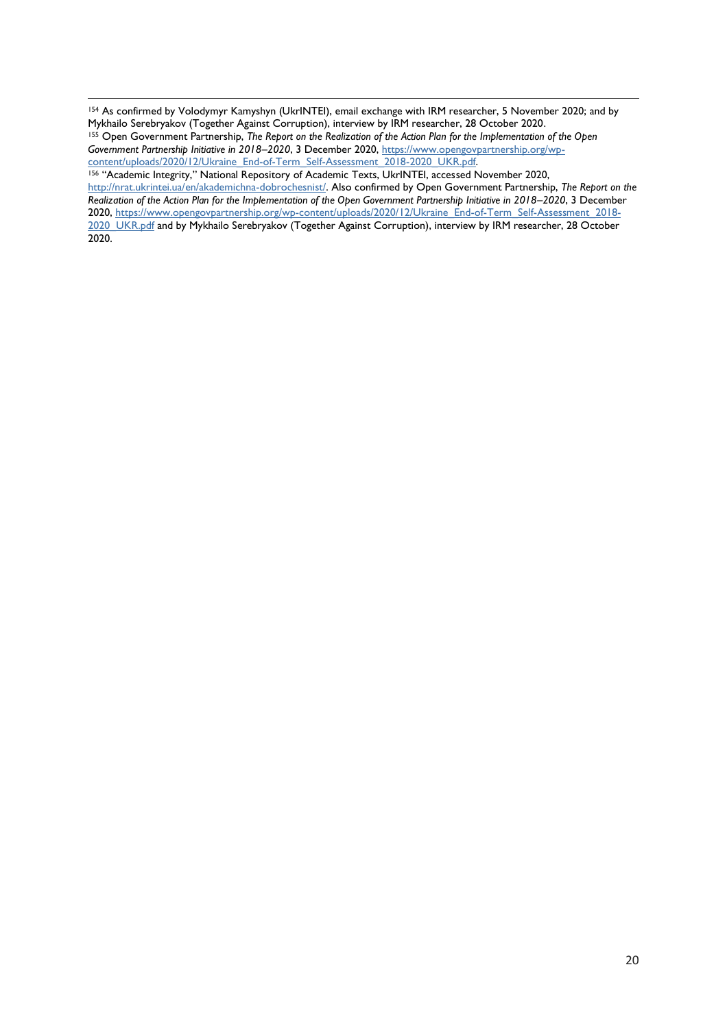<sup>154</sup> As confirmed by Volodymyr Kamyshyn (UkrINTEI), email exchange with IRM researcher, 5 November 2020; and by Mykhailo Serebryakov (Together Against Corruption), interview by IRM researcher, 28 October 2020. <sup>155</sup> Open Government Partnership, *The Report on the Realization of the Action Plan for the Implementation of the Open Government Partnership Initiative in 2018–2020*, 3 December 2020[, https://www.opengovpartnership.org/wp](https://www.opengovpartnership.org/wp-content/uploads/2020/12/Ukraine_End-of-Term_Self-Assessment_2018-2020_UKR.pdf)[content/uploads/2020/12/Ukraine\\_End-of-Term\\_Self-Assessment\\_2018-2020\\_UKR.pdf.](https://www.opengovpartnership.org/wp-content/uploads/2020/12/Ukraine_End-of-Term_Self-Assessment_2018-2020_UKR.pdf)

<sup>156</sup> "Academic Integrity," National Repository of Academic Texts, UkrINTEI, accessed November 2020, [http://nrat.ukrintei.ua/en/akademichna-dobrochesnist/.](http://nrat.ukrintei.ua/en/akademichna-dobrochesnist/) Also confirmed by Open Government Partnership, *The Report on the Realization of the Action Plan for the Implementation of the Open Government Partnership Initiative in 2018–2020*, 3 December 2020, [https://www.opengovpartnership.org/wp-content/uploads/2020/12/Ukraine\\_End-of-Term\\_Self-Assessment\\_2018-](https://www.opengovpartnership.org/wp-content/uploads/2020/12/Ukraine_End-of-Term_Self-Assessment_2018-2020_UKR.pdf) [2020\\_UKR.pdf](https://www.opengovpartnership.org/wp-content/uploads/2020/12/Ukraine_End-of-Term_Self-Assessment_2018-2020_UKR.pdf) and by Mykhailo Serebryakov (Together Against Corruption), interview by IRM researcher, 28 October 2020.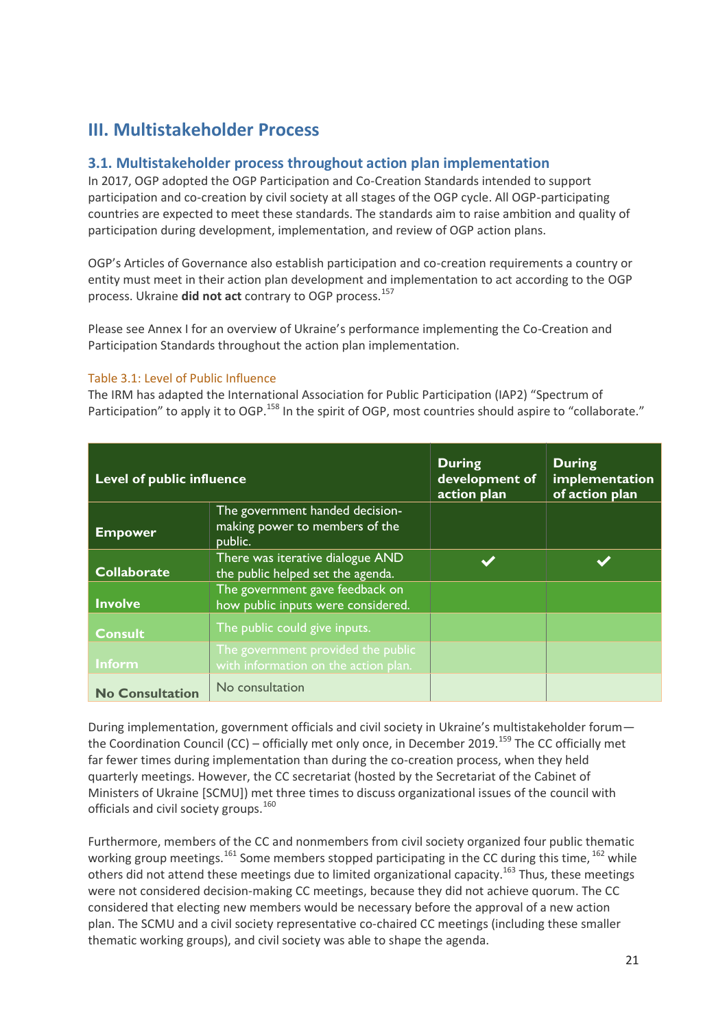# <span id="page-20-0"></span>**III. Multistakeholder Process**

## **3.1. Multistakeholder process throughout action plan implementation**

In 2017, OGP adopted the OGP Participation and Co-Creation Standards intended to support participation and co-creation by civil society at all stages of the OGP cycle. All OGP-participating countries are expected to meet these standards. The standards aim to raise ambition and quality of participation during development, implementation, and review of OGP action plans.

OGP's Articles of Governance also establish participation and co-creation requirements a country or entity must meet in their action plan development and implementation to act according to the OGP process. Ukraine **did not act** contrary to OGP process.<sup>157</sup>

Please see Annex I for an overview of Ukraine's performance implementing the Co-Creation and Participation Standards throughout the action plan implementation.

#### Table 3.1: Level of Public Influence

The IRM has adapted the International Association for Public Participation (IAP2) "Spectrum of Participation" to apply it to OGP.<sup>158</sup> In the spirit of OGP, most countries should aspire to "collaborate."

| <b>Level of public influence</b> |                                                                              | <b>During</b><br>development of<br>action plan | <b>During</b><br>implementation<br>of action plan |
|----------------------------------|------------------------------------------------------------------------------|------------------------------------------------|---------------------------------------------------|
| <b>Empower</b>                   | The government handed decision-<br>making power to members of the<br>public. |                                                |                                                   |
| <b>Collaborate</b>               | There was iterative dialogue AND<br>the public helped set the agenda.        |                                                |                                                   |
| <b>Involve</b>                   | The government gave feedback on<br>how public inputs were considered.        |                                                |                                                   |
| <b>Consult</b>                   | The public could give inputs.                                                |                                                |                                                   |
| Inform                           | The government provided the public<br>with information on the action plan.   |                                                |                                                   |
| <b>No Consultation</b>           | No consultation                                                              |                                                |                                                   |

During implementation, government officials and civil society in Ukraine's multistakeholder forum the Coordination Council (CC) – officially met only once, in December 2019.<sup>159</sup> The CC officially met far fewer times during implementation than during the co-creation process, when they held quarterly meetings. However, the CC secretariat (hosted by the Secretariat of the Cabinet of Ministers of Ukraine [SCMU]) met three times to discuss organizational issues of the council with officials and civil society groups.<sup>160</sup>

Furthermore, members of the CC and nonmembers from civil society organized four public thematic working group meetings.<sup>161</sup> Some members stopped participating in the CC during this time, <sup>162</sup> while others did not attend these meetings due to limited organizational capacity.<sup>163</sup> Thus, these meetings were not considered decision-making CC meetings, because they did not achieve quorum. The CC considered that electing new members would be necessary before the approval of a new action plan. The SCMU and a civil society representative co-chaired CC meetings (including these smaller thematic working groups), and civil society was able to shape the agenda.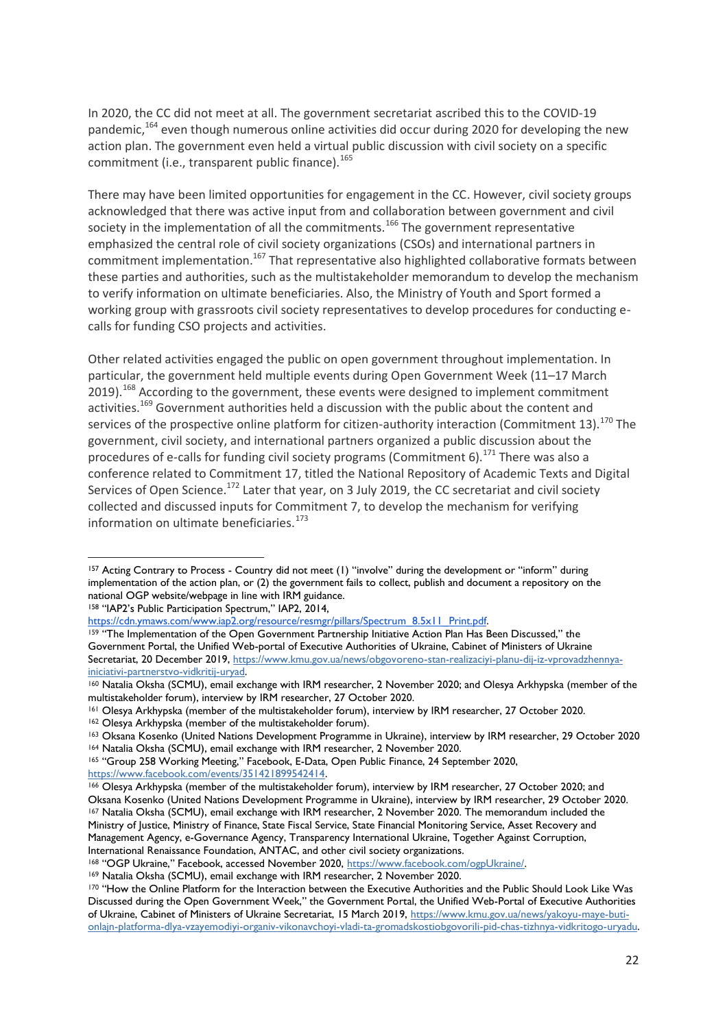In 2020, the CC did not meet at all. The government secretariat ascribed this to the COVID-19 pandemic,<sup>164</sup> even though numerous online activities did occur during 2020 for developing the new action plan. The government even held a virtual public discussion with civil society on a specific commitment (i.e., transparent public finance).<sup>165</sup>

There may have been limited opportunities for engagement in the CC. However, civil society groups acknowledged that there was active input from and collaboration between government and civil society in the implementation of all the commitments.<sup>166</sup> The government representative emphasized the central role of civil society organizations (CSOs) and international partners in commitment implementation.<sup>167</sup> That representative also highlighted collaborative formats between these parties and authorities, such as the multistakeholder memorandum to develop the mechanism to verify information on ultimate beneficiaries. Also, the Ministry of Youth and Sport formed a working group with grassroots civil society representatives to develop procedures for conducting ecalls for funding CSO projects and activities.

Other related activities engaged the public on open government throughout implementation. In particular, the government held multiple events during Open Government Week (11–17 March 2019).<sup>168</sup> According to the government, these events were designed to implement commitment activities.<sup>169</sup> Government authorities held a discussion with the public about the content and services of the prospective online platform for citizen-authority interaction (Commitment 13).<sup>170</sup> The government, civil society, and international partners organized a public discussion about the procedures of e-calls for funding civil society programs (Commitment 6).<sup>171</sup> There was also a conference related to Commitment 17, titled the National Repository of Academic Texts and Digital Services of Open Science.<sup>172</sup> Later that year, on 3 July 2019, the CC secretariat and civil society collected and discussed inputs for Commitment 7, to develop the mechanism for verifying information on ultimate beneficiaries.<sup>173</sup>

<sup>158</sup> "IAP2's Public Participation Spectrum," IAP2, 2014, [https://cdn.ymaws.com/www.iap2.org/resource/resmgr/pillars/Spectrum\\_8.5x11\\_Print.pdf.](https://cdn.ymaws.com/www.iap2.org/resource/resmgr/pillars/Spectrum_8.5x11_Print.pdf)

<sup>159</sup> "The Implementation of the Open Government Partnership Initiative Action Plan Has Been Discussed," the Government Portal, the Unified Web-portal of Executive Authorities of Ukraine, Cabinet of Ministers of Ukraine Secretariat, 20 December 2019, [https://www.kmu.gov.ua/news/obgovoreno-stan-realizaciyi-planu-dij-iz-vprovadzhennya](https://www.kmu.gov.ua/news/obgovoreno-stan-realizaciyi-planu-dij-iz-vprovadzhennya-iniciativi-partnerstvo-vidkritij-uryad)[iniciativi-partnerstvo-vidkritij-uryad.](https://www.kmu.gov.ua/news/obgovoreno-stan-realizaciyi-planu-dij-iz-vprovadzhennya-iniciativi-partnerstvo-vidkritij-uryad)

- <sup>161</sup> Olesya Arkhypska (member of the multistakeholder forum), interview by IRM researcher, 27 October 2020.
- <sup>162</sup> Olesya Arkhypska (member of the multistakeholder forum).

<sup>165</sup> "Group 258 Working Meeting," Facebook, E-Data, Open Public Finance, 24 September 2020,

[https://www.facebook.com/events/351421899542414.](https://www.facebook.com/events/351421899542414)

<sup>157</sup> Acting Contrary to Process - Country did not meet (1) "involve" during the development or "inform" during implementation of the action plan, or (2) the government fails to collect, publish and document a repository on the national OGP website/webpage in line with IRM guidance.

<sup>160</sup> Natalia Oksha (SCMU), email exchange with IRM researcher, 2 November 2020; and Olesya Arkhypska (member of the multistakeholder forum), interview by IRM researcher, 27 October 2020.

<sup>163</sup> Oksana Kosenko (United Nations Development Programme in Ukraine), interview by IRM researcher, 29 October 2020 <sup>164</sup> Natalia Oksha (SCMU), email exchange with IRM researcher, 2 November 2020.

<sup>166</sup> Olesya Arkhypska (member of the multistakeholder forum), interview by IRM researcher, 27 October 2020; and Oksana Kosenko (United Nations Development Programme in Ukraine), interview by IRM researcher, 29 October 2020. <sup>167</sup> Natalia Oksha (SCMU), email exchange with IRM researcher, 2 November 2020. The memorandum included the Ministry of Justice, Ministry of Finance, State Fiscal Service, State Financial Monitoring Service, Asset Recovery and Management Agency, e-Governance Agency, Transparency International Ukraine, Together Against Corruption, International Renaissance Foundation, ANTAC, and other civil society organizations.

<sup>168</sup> "OGP Ukraine," Facebook, accessed November 2020, [https://www.facebook.com/ogpUkraine/.](https://www.facebook.com/ogpUkraine/)

<sup>169</sup> Natalia Oksha (SCMU), email exchange with IRM researcher, 2 November 2020.

<sup>170 &</sup>quot;How the Online Platform for the Interaction between the Executive Authorities and the Public Should Look Like Was Discussed during the Open Government Week," the Government Portal, the Unified Web-Portal of Executive Authorities of Ukraine, Cabinet of Ministers of Ukraine Secretariat, 15 March 2019, [https://www.kmu.gov.ua/news/yakoyu-maye-buti](https://www.kmu.gov.ua/news/yakoyu-maye-buti-onlajn-platforma-dlya-vzayemodiyi-organiv-vikonavchoyi-vladi-ta-gromadskostiobgovorili-pid-chas-tizhnya-vidkritogo-uryadu)[onlajn-platforma-dlya-vzayemodiyi-organiv-vikonavchoyi-vladi-ta-gromadskostiobgovorili-pid-chas-tizhnya-vidkritogo-uryadu.](https://www.kmu.gov.ua/news/yakoyu-maye-buti-onlajn-platforma-dlya-vzayemodiyi-organiv-vikonavchoyi-vladi-ta-gromadskostiobgovorili-pid-chas-tizhnya-vidkritogo-uryadu)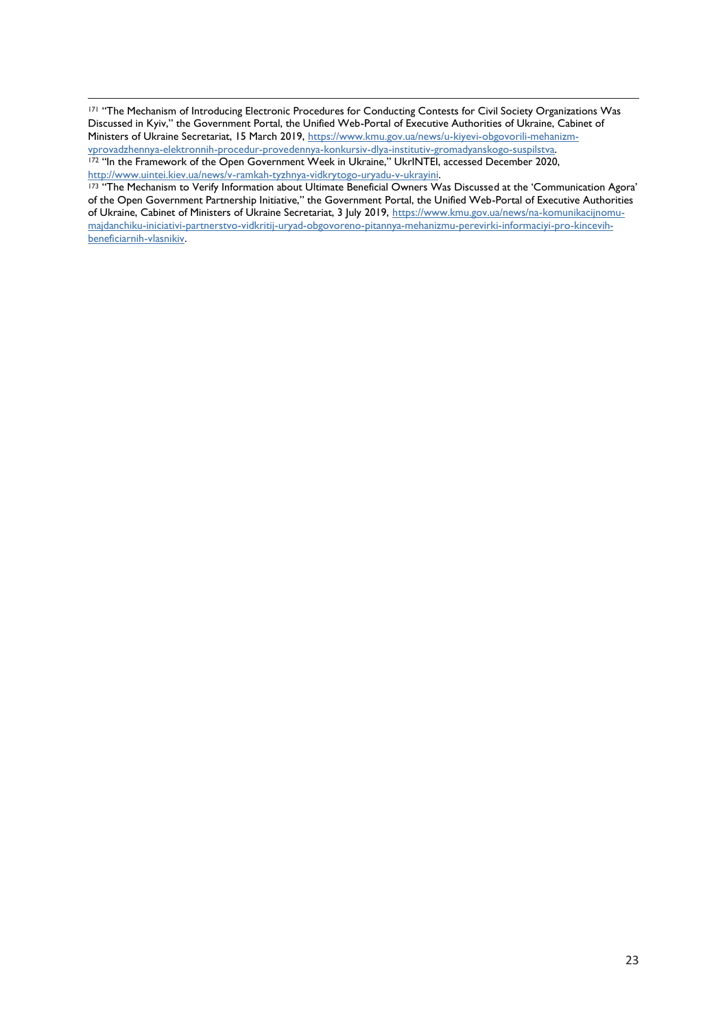171 "The Mechanism of Introducing Electronic Procedures for Conducting Contests for Civil Society Organizations Was Discussed in Kyiv," the Government Portal, the Unified Web-Portal of Executive Authorities of Ukraine, Cabinet of Ministers of Ukraine Secretariat, 15 March 2019, [https://www.kmu.gov.ua/news/u-kiyevi-obgovorili-mehanizm](https://www.kmu.gov.ua/news/u-kiyevi-obgovorili-mehanizm-vprovadzhennya-elektronnih-procedur-provedennya-konkursiv-dlya-institutiv-gromadyanskogo-suspilstva)[vprovadzhennya-elektronnih-procedur-provedennya-konkursiv-dlya-institutiv-gromadyanskogo-suspilstva.](https://www.kmu.gov.ua/news/u-kiyevi-obgovorili-mehanizm-vprovadzhennya-elektronnih-procedur-provedennya-konkursiv-dlya-institutiv-gromadyanskogo-suspilstva) 172 "In the Framework of the Open Government Week in Ukraine," UkrINTEI, accessed December 2020, [http://www.uintei.kiev.ua/news/v-ramkah-tyzhnya-vidkrytogo-uryadu-v-ukrayini.](http://www.uintei.kiev.ua/news/v-ramkah-tyzhnya-vidkrytogo-uryadu-v-ukrayini)

<sup>173</sup> "The Mechanism to Verify Information about Ultimate Beneficial Owners Was Discussed at the 'Communication Agora' of the Open Government Partnership Initiative," the Government Portal, the Unified Web-Portal of Executive Authorities of Ukraine, Cabinet of Ministers of Ukraine Secretariat, 3 July 2019, [https://www.kmu.gov.ua/news/na-komunikacijnomu](https://www.kmu.gov.ua/news/na-komunikacijnomu-majdanchiku-iniciativi-partnerstvo-vidkritij-uryad-obgovoreno-pitannya-mehanizmu-perevirki-informaciyi-pro-kincevih-beneficiarnih-vlasnikiv)[majdanchiku-iniciativi-partnerstvo-vidkritij-uryad-obgovoreno-pitannya-mehanizmu-perevirki-informaciyi-pro-kincevih](https://www.kmu.gov.ua/news/na-komunikacijnomu-majdanchiku-iniciativi-partnerstvo-vidkritij-uryad-obgovoreno-pitannya-mehanizmu-perevirki-informaciyi-pro-kincevih-beneficiarnih-vlasnikiv)[beneficiarnih-vlasnikiv.](https://www.kmu.gov.ua/news/na-komunikacijnomu-majdanchiku-iniciativi-partnerstvo-vidkritij-uryad-obgovoreno-pitannya-mehanizmu-perevirki-informaciyi-pro-kincevih-beneficiarnih-vlasnikiv)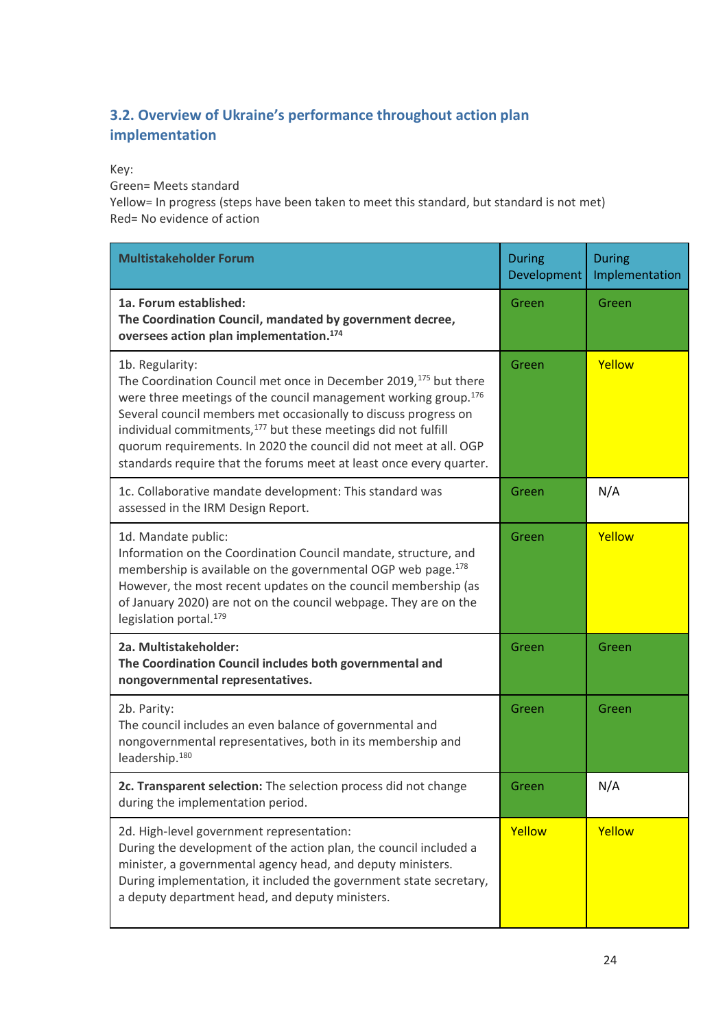## **3.2. Overview of Ukraine's performance throughout action plan implementation**

### Key:

Green= Meets standard

Yellow= In progress (steps have been taken to meet this standard, but standard is not met) Red= No evidence of action

| <b>Multistakeholder Forum</b>                                                                                                                                                                                                                                                                                                                                                                                                                                   | <b>During</b><br>Development | <b>During</b><br>Implementation |
|-----------------------------------------------------------------------------------------------------------------------------------------------------------------------------------------------------------------------------------------------------------------------------------------------------------------------------------------------------------------------------------------------------------------------------------------------------------------|------------------------------|---------------------------------|
| 1a. Forum established:<br>The Coordination Council, mandated by government decree,<br>oversees action plan implementation. <sup>174</sup>                                                                                                                                                                                                                                                                                                                       | Green                        | Green                           |
| 1b. Regularity:<br>The Coordination Council met once in December 2019, <sup>175</sup> but there<br>were three meetings of the council management working group. <sup>176</sup><br>Several council members met occasionally to discuss progress on<br>individual commitments, 177 but these meetings did not fulfill<br>quorum requirements. In 2020 the council did not meet at all. OGP<br>standards require that the forums meet at least once every quarter. | Green                        | Yellow                          |
| 1c. Collaborative mandate development: This standard was<br>assessed in the IRM Design Report.                                                                                                                                                                                                                                                                                                                                                                  | Green                        | N/A                             |
| 1d. Mandate public:<br>Information on the Coordination Council mandate, structure, and<br>membership is available on the governmental OGP web page. <sup>178</sup><br>However, the most recent updates on the council membership (as<br>of January 2020) are not on the council webpage. They are on the<br>legislation portal. <sup>179</sup>                                                                                                                  | Green                        | Yellow                          |
| 2a. Multistakeholder:<br>The Coordination Council includes both governmental and<br>nongovernmental representatives.                                                                                                                                                                                                                                                                                                                                            | Green                        | Green                           |
| 2b. Parity:<br>The council includes an even balance of governmental and<br>nongovernmental representatives, both in its membership and<br>leadership. <sup>180</sup>                                                                                                                                                                                                                                                                                            | Green                        | Green                           |
| 2c. Transparent selection: The selection process did not change<br>during the implementation period.                                                                                                                                                                                                                                                                                                                                                            | Green                        | N/A                             |
| 2d. High-level government representation:<br>During the development of the action plan, the council included a<br>minister, a governmental agency head, and deputy ministers.<br>During implementation, it included the government state secretary,<br>a deputy department head, and deputy ministers.                                                                                                                                                          | Yellow                       | Yellow                          |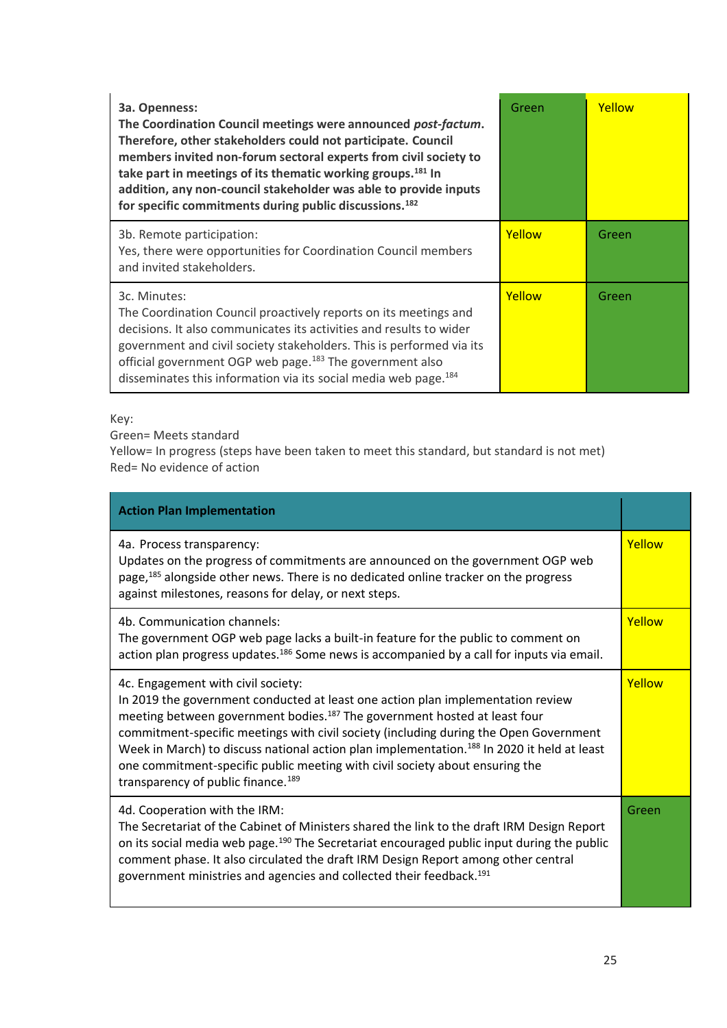| 3a. Openness:<br>The Coordination Council meetings were announced post-factum.<br>Therefore, other stakeholders could not participate. Council<br>members invited non-forum sectoral experts from civil society to<br>take part in meetings of its thematic working groups. <sup>181</sup> In<br>addition, any non-council stakeholder was able to provide inputs<br>for specific commitments during public discussions. <sup>182</sup> | Green  | Yellow |
|-----------------------------------------------------------------------------------------------------------------------------------------------------------------------------------------------------------------------------------------------------------------------------------------------------------------------------------------------------------------------------------------------------------------------------------------|--------|--------|
| 3b. Remote participation:<br>Yes, there were opportunities for Coordination Council members<br>and invited stakeholders.                                                                                                                                                                                                                                                                                                                | Yellow | Green  |
| 3c. Minutes:<br>The Coordination Council proactively reports on its meetings and<br>decisions. It also communicates its activities and results to wider<br>government and civil society stakeholders. This is performed via its<br>official government OGP web page. <sup>183</sup> The government also<br>disseminates this information via its social media web page. <sup>184</sup>                                                  | Yellow | Green  |

Key:

Green= Meets standard

Yellow= In progress (steps have been taken to meet this standard, but standard is not met) Red= No evidence of action

| <b>Action Plan Implementation</b>                                                                                                                                                                                                                                                                                                                                                                                                                                                                                                                   |        |
|-----------------------------------------------------------------------------------------------------------------------------------------------------------------------------------------------------------------------------------------------------------------------------------------------------------------------------------------------------------------------------------------------------------------------------------------------------------------------------------------------------------------------------------------------------|--------|
| 4a. Process transparency:<br>Updates on the progress of commitments are announced on the government OGP web<br>page, <sup>185</sup> alongside other news. There is no dedicated online tracker on the progress<br>against milestones, reasons for delay, or next steps.                                                                                                                                                                                                                                                                             | Yellow |
| 4b. Communication channels:<br>The government OGP web page lacks a built-in feature for the public to comment on<br>action plan progress updates. <sup>186</sup> Some news is accompanied by a call for inputs via email.                                                                                                                                                                                                                                                                                                                           | Yellow |
| 4c. Engagement with civil society:<br>In 2019 the government conducted at least one action plan implementation review<br>meeting between government bodies. <sup>187</sup> The government hosted at least four<br>commitment-specific meetings with civil society (including during the Open Government<br>Week in March) to discuss national action plan implementation. <sup>188</sup> In 2020 it held at least<br>one commitment-specific public meeting with civil society about ensuring the<br>transparency of public finance. <sup>189</sup> | Yellow |
| 4d. Cooperation with the IRM:<br>The Secretariat of the Cabinet of Ministers shared the link to the draft IRM Design Report<br>on its social media web page. <sup>190</sup> The Secretariat encouraged public input during the public<br>comment phase. It also circulated the draft IRM Design Report among other central<br>government ministries and agencies and collected their feedback. <sup>191</sup>                                                                                                                                       | Green  |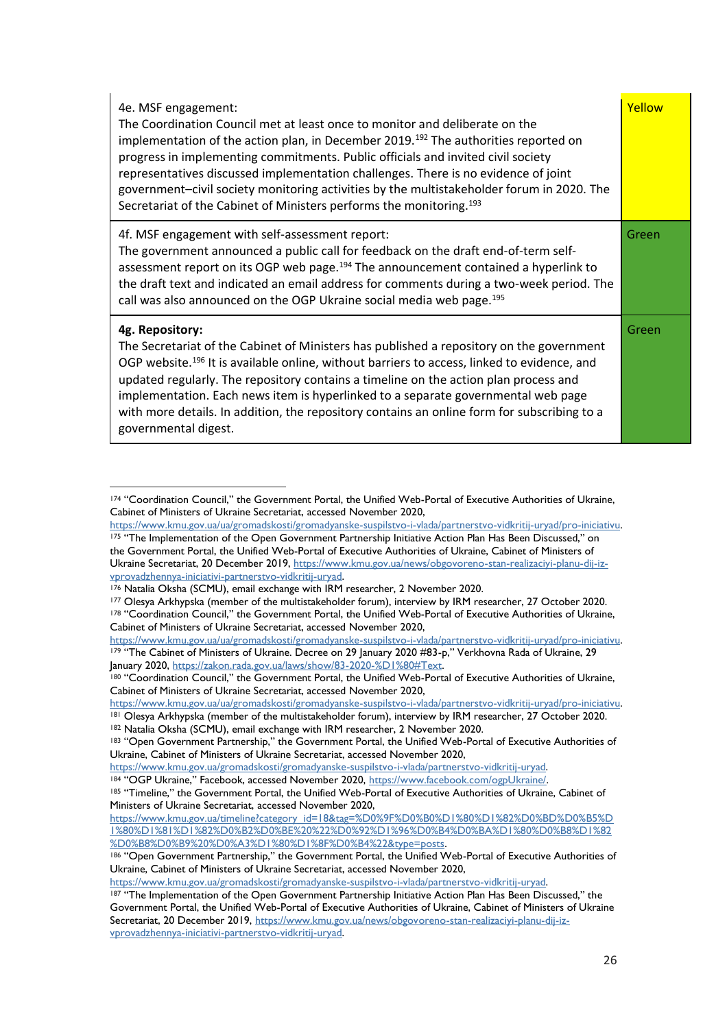| 4e. MSF engagement:<br>The Coordination Council met at least once to monitor and deliberate on the<br>implementation of the action plan, in December 2019. <sup>192</sup> The authorities reported on<br>progress in implementing commitments. Public officials and invited civil society<br>representatives discussed implementation challenges. There is no evidence of joint<br>government-civil society monitoring activities by the multistakeholder forum in 2020. The<br>Secretariat of the Cabinet of Ministers performs the monitoring. <sup>193</sup> | Yellow |
|-----------------------------------------------------------------------------------------------------------------------------------------------------------------------------------------------------------------------------------------------------------------------------------------------------------------------------------------------------------------------------------------------------------------------------------------------------------------------------------------------------------------------------------------------------------------|--------|
| 4f. MSF engagement with self-assessment report:<br>The government announced a public call for feedback on the draft end-of-term self-<br>assessment report on its OGP web page. <sup>194</sup> The announcement contained a hyperlink to<br>the draft text and indicated an email address for comments during a two-week period. The<br>call was also announced on the OGP Ukraine social media web page. <sup>195</sup>                                                                                                                                        | Green  |
| 4g. Repository:<br>The Secretariat of the Cabinet of Ministers has published a repository on the government<br>OGP website. <sup>196</sup> It is available online, without barriers to access, linked to evidence, and<br>updated regularly. The repository contains a timeline on the action plan process and<br>implementation. Each news item is hyperlinked to a separate governmental web page<br>with more details. In addition, the repository contains an online form for subscribing to a<br>governmental digest.                                      | Green  |

<sup>174</sup> "Coordination Council," the Government Portal, the Unified Web-Portal of Executive Authorities of Ukraine, Cabinet of Ministers of Ukraine Secretariat, accessed November 2020,

<sup>182</sup> Natalia Oksha (SCMU), email exchange with IRM researcher, 2 November 2020.

[https://www.kmu.gov.ua/ua/gromadskosti/gromadyanske-suspilstvo-i-vlada/partnerstvo-vidkritij-uryad/pro-iniciativu.](https://www.kmu.gov.ua/ua/gromadskosti/gromadyanske-suspilstvo-i-vlada/partnerstvo-vidkritij-uryad/pro-iniciativu)

<sup>175 &</sup>quot;The Implementation of the Open Government Partnership Initiative Action Plan Has Been Discussed," on the Government Portal, the Unified Web-Portal of Executive Authorities of Ukraine, Cabinet of Ministers of Ukraine Secretariat, 20 December 2019, [https://www.kmu.gov.ua/news/obgovoreno-stan-realizaciyi-planu-dij-iz](https://www.kmu.gov.ua/news/obgovoreno-stan-realizaciyi-planu-dij-iz-vprovadzhennya-iniciativi-partnerstvo-vidkritij-uryad)[vprovadzhennya-iniciativi-partnerstvo-vidkritij-uryad.](https://www.kmu.gov.ua/news/obgovoreno-stan-realizaciyi-planu-dij-iz-vprovadzhennya-iniciativi-partnerstvo-vidkritij-uryad)

<sup>176</sup> Natalia Oksha (SCMU), email exchange with IRM researcher, 2 November 2020.

<sup>177</sup> Olesya Arkhypska (member of the multistakeholder forum), interview by IRM researcher, 27 October 2020. <sup>178</sup> "Coordination Council," the Government Portal, the Unified Web-Portal of Executive Authorities of Ukraine, Cabinet of Ministers of Ukraine Secretariat, accessed November 2020,

[https://www.kmu.gov.ua/ua/gromadskosti/gromadyanske-suspilstvo-i-vlada/partnerstvo-vidkritij-uryad/pro-iniciativu.](https://www.kmu.gov.ua/ua/gromadskosti/gromadyanske-suspilstvo-i-vlada/partnerstvo-vidkritij-uryad/pro-iniciativu) <sup>179</sup> "The Cabinet of Ministers of Ukraine. Decree on 29 January 2020 #83-p," Verkhovna Rada of Ukraine, 29 January 2020, [https://zakon.rada.gov.ua/laws/show/83-2020-%D1%80#Text.](https://zakon.rada.gov.ua/laws/show/83-2020-%D1%80#Text)

<sup>180</sup> "Coordination Council," the Government Portal, the Unified Web-Portal of Executive Authorities of Ukraine, Cabinet of Ministers of Ukraine Secretariat, accessed November 2020,

[https://www.kmu.gov.ua/ua/gromadskosti/gromadyanske-suspilstvo-i-vlada/partnerstvo-vidkritij-uryad/pro-iniciativu.](https://www.kmu.gov.ua/ua/gromadskosti/gromadyanske-suspilstvo-i-vlada/partnerstvo-vidkritij-uryad/pro-iniciativu) <sup>181</sup> Olesya Arkhypska (member of the multistakeholder forum), interview by IRM researcher, 27 October 2020.

<sup>183</sup> "Open Government Partnership," the Government Portal, the Unified Web-Portal of Executive Authorities of Ukraine, Cabinet of Ministers of Ukraine Secretariat, accessed November 2020,

[https://www.kmu.gov.ua/gromadskosti/gromadyanske-suspilstvo-i-vlada/partnerstvo-vidkritij-uryad.](https://www.kmu.gov.ua/gromadskosti/gromadyanske-suspilstvo-i-vlada/partnerstvo-vidkritij-uryad)

<sup>184</sup> "OGP Ukraine," Facebook, accessed November 2020, [https://www.facebook.com/ogpUkraine/.](https://www.facebook.com/ogpUkraine/)

<sup>185 &</sup>quot;Timeline," the Government Portal, the Unified Web-Portal of Executive Authorities of Ukraine, Cabinet of Ministers of Ukraine Secretariat, accessed November 2020,

[https://www.kmu.gov.ua/timeline?category\\_id=18&tag=%D0%9F%D0%B0%D1%80%D1%82%D0%BD%D0%B5%D](https://www.kmu.gov.ua/timeline?category_id=18&tag=%D0%9F%D0%B0%D1%80%D1%82%D0%BD%D0%B5%D1%80%D1%81%D1%82%D0%B2%D0%BE%20%22%D0%92%D1%96%D0%B4%D0%BA%D1%80%D0%B8%D1%82%D0%B8%D0%B9%20%D0%A3%D1%80%D1%8F%D0%B4%22&type=posts) [1%80%D1%81%D1%82%D0%B2%D0%BE%20%22%D0%92%D1%96%D0%B4%D0%BA%D1%80%D0%B8%D1%82](https://www.kmu.gov.ua/timeline?category_id=18&tag=%D0%9F%D0%B0%D1%80%D1%82%D0%BD%D0%B5%D1%80%D1%81%D1%82%D0%B2%D0%BE%20%22%D0%92%D1%96%D0%B4%D0%BA%D1%80%D0%B8%D1%82%D0%B8%D0%B9%20%D0%A3%D1%80%D1%8F%D0%B4%22&type=posts) [%D0%B8%D0%B9%20%D0%A3%D1%80%D1%8F%D0%B4%22&type=posts.](https://www.kmu.gov.ua/timeline?category_id=18&tag=%D0%9F%D0%B0%D1%80%D1%82%D0%BD%D0%B5%D1%80%D1%81%D1%82%D0%B2%D0%BE%20%22%D0%92%D1%96%D0%B4%D0%BA%D1%80%D0%B8%D1%82%D0%B8%D0%B9%20%D0%A3%D1%80%D1%8F%D0%B4%22&type=posts)

<sup>186</sup> "Open Government Partnership," the Government Portal, the Unified Web-Portal of Executive Authorities of Ukraine, Cabinet of Ministers of Ukraine Secretariat, accessed November 2020,

[https://www.kmu.gov.ua/gromadskosti/gromadyanske-suspilstvo-i-vlada/partnerstvo-vidkritij-uryad.](https://www.kmu.gov.ua/gromadskosti/gromadyanske-suspilstvo-i-vlada/partnerstvo-vidkritij-uryad)

<sup>187 &</sup>quot;The Implementation of the Open Government Partnership Initiative Action Plan Has Been Discussed," the Government Portal, the Unified Web-Portal of Executive Authorities of Ukraine, Cabinet of Ministers of Ukraine Secretariat, 20 December 2019, [https://www.kmu.gov.ua/news/obgovoreno-stan-realizaciyi-planu-dij-iz](https://www.kmu.gov.ua/news/obgovoreno-stan-realizaciyi-planu-dij-iz-vprovadzhennya-iniciativi-partnerstvo-vidkritij-uryad)[vprovadzhennya-iniciativi-partnerstvo-vidkritij-uryad.](https://www.kmu.gov.ua/news/obgovoreno-stan-realizaciyi-planu-dij-iz-vprovadzhennya-iniciativi-partnerstvo-vidkritij-uryad)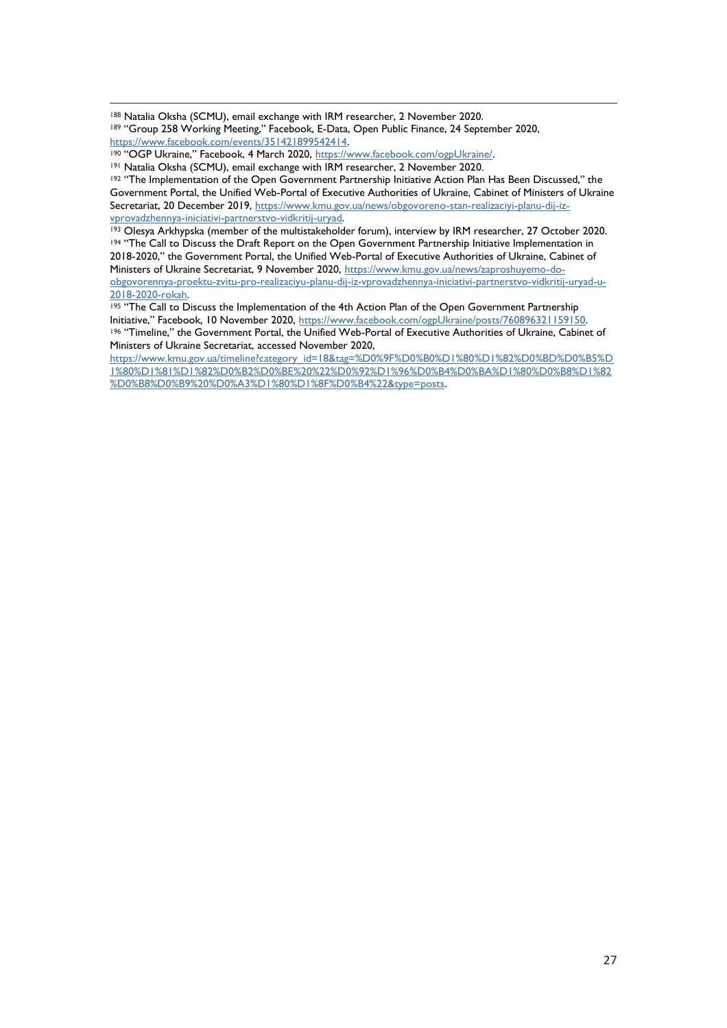<sup>188</sup> Natalia Oksha (SCMU), email exchange with IRM researcher, 2 November 2020.

190 "OGP Ukraine," Facebook, 4 March 2020, [https://www.facebook.com/ogpUkraine/.](https://www.facebook.com/ogpUkraine/)

<sup>191</sup> Natalia Oksha (SCMU), email exchange with IRM researcher, 2 November 2020.

<sup>192</sup> "The Implementation of the Open Government Partnership Initiative Action Plan Has Been Discussed," the Government Portal, the Unified Web-Portal of Executive Authorities of Ukraine, Cabinet of Ministers of Ukraine Secretariat, 20 December 2019, [https://www.kmu.gov.ua/news/obgovoreno-stan-realizaciyi-planu-dij-iz](https://www.kmu.gov.ua/news/obgovoreno-stan-realizaciyi-planu-dij-iz-vprovadzhennya-iniciativi-partnerstvo-vidkritij-uryad)[vprovadzhennya-iniciativi-partnerstvo-vidkritij-uryad.](https://www.kmu.gov.ua/news/obgovoreno-stan-realizaciyi-planu-dij-iz-vprovadzhennya-iniciativi-partnerstvo-vidkritij-uryad)

193 Olesya Arkhypska (member of the multistakeholder forum), interview by IRM researcher, 27 October 2020. <sup>194</sup> "The Call to Discuss the Draft Report on the Open Government Partnership Initiative Implementation in 2018-2020," the Government Portal, the Unified Web-Portal of Executive Authorities of Ukraine, Cabinet of Ministers of Ukraine Secretariat, 9 November 2020, [https://www.kmu.gov.ua/news/zaproshuyemo-do](https://www.kmu.gov.ua/news/zaproshuyemo-do-obgovorennya-proektu-zvitu-pro-realizaciyu-planu-dij-iz-vprovadzhennya-iniciativi-partnerstvo-vidkritij-uryad-u-2018-2020-rokah)[obgovorennya-proektu-zvitu-pro-realizaciyu-planu-dij-iz-vprovadzhennya-iniciativi-partnerstvo-vidkritij-uryad-u-](https://www.kmu.gov.ua/news/zaproshuyemo-do-obgovorennya-proektu-zvitu-pro-realizaciyu-planu-dij-iz-vprovadzhennya-iniciativi-partnerstvo-vidkritij-uryad-u-2018-2020-rokah)[2018-2020-rokah.](https://www.kmu.gov.ua/news/zaproshuyemo-do-obgovorennya-proektu-zvitu-pro-realizaciyu-planu-dij-iz-vprovadzhennya-iniciativi-partnerstvo-vidkritij-uryad-u-2018-2020-rokah)

<sup>195</sup> "The Call to Discuss the Implementation of the 4th Action Plan of the Open Government Partnership Initiative," Facebook, 10 November 2020, [https://www.facebook.com/ogpUkraine/posts/760896321159150.](https://www.facebook.com/ogpUkraine/posts/760896321159150) 196 "Timeline," the Government Portal, the Unified Web-Portal of Executive Authorities of Ukraine, Cabinet of Ministers of Ukraine Secretariat, accessed November 2020,

[https://www.kmu.gov.ua/timeline?category\\_id=18&tag=%D0%9F%D0%B0%D1%80%D1%82%D0%BD%D0%B5%D](https://www.kmu.gov.ua/timeline?category_id=18&tag=%D0%9F%D0%B0%D1%80%D1%82%D0%BD%D0%B5%D1%80%D1%81%D1%82%D0%B2%D0%BE%20%22%D0%92%D1%96%D0%B4%D0%BA%D1%80%D0%B8%D1%82%D0%B8%D0%B9%20%D0%A3%D1%80%D1%8F%D0%B4%22&type=posts) [1%80%D1%81%D1%82%D0%B2%D0%BE%20%22%D0%92%D1%96%D0%B4%D0%BA%D1%80%D0%B8%D1%82](https://www.kmu.gov.ua/timeline?category_id=18&tag=%D0%9F%D0%B0%D1%80%D1%82%D0%BD%D0%B5%D1%80%D1%81%D1%82%D0%B2%D0%BE%20%22%D0%92%D1%96%D0%B4%D0%BA%D1%80%D0%B8%D1%82%D0%B8%D0%B9%20%D0%A3%D1%80%D1%8F%D0%B4%22&type=posts) [%D0%B8%D0%B9%20%D0%A3%D1%80%D1%8F%D0%B4%22&type=posts.](https://www.kmu.gov.ua/timeline?category_id=18&tag=%D0%9F%D0%B0%D1%80%D1%82%D0%BD%D0%B5%D1%80%D1%81%D1%82%D0%B2%D0%BE%20%22%D0%92%D1%96%D0%B4%D0%BA%D1%80%D0%B8%D1%82%D0%B8%D0%B9%20%D0%A3%D1%80%D1%8F%D0%B4%22&type=posts)

<sup>&</sup>lt;sup>189</sup> "Group 258 Working Meeting," Facebook, E-Data, Open Public Finance, 24 September 2020, [https://www.facebook.com/events/351421899542414.](https://www.facebook.com/events/351421899542414)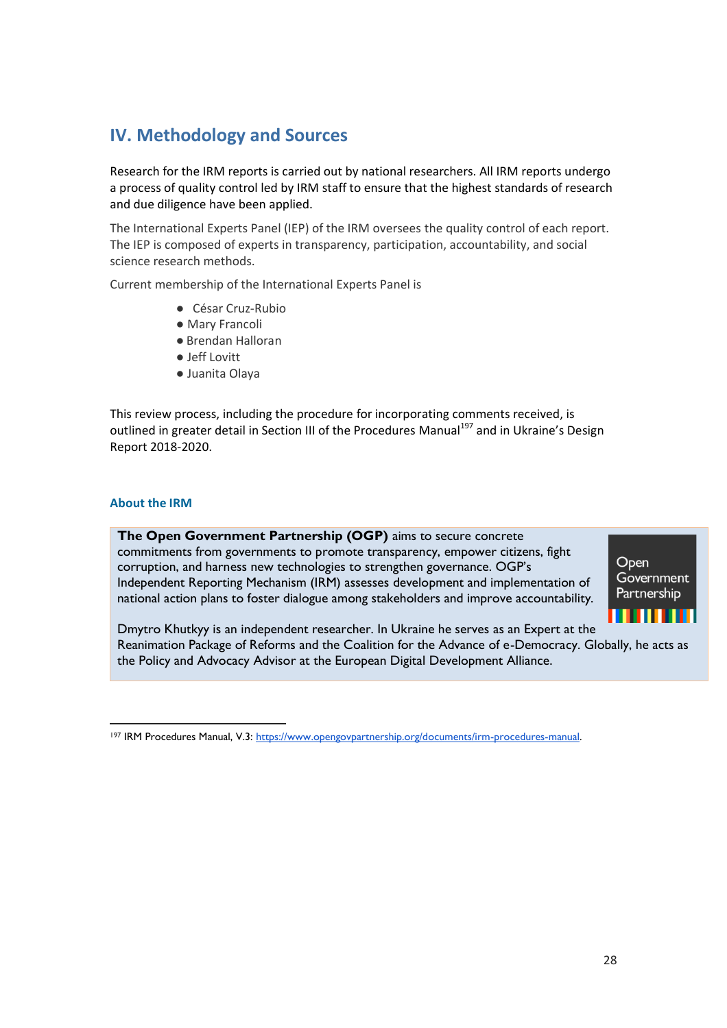# <span id="page-27-0"></span>**IV. Methodology and Sources**

Research for the IRM reports is carried out by national researchers. All IRM reports undergo a process of quality control led by IRM staff to ensure that the highest standards of research and due diligence have been applied.

The International Experts Panel (IEP) of the IRM oversees the quality control of each report. The IEP is composed of experts in transparency, participation, accountability, and social science research methods.

Current membership of the International Experts Panel is

- César Cruz-Rubio
- Mary Francoli
- Brendan Halloran
- Jeff Lovitt
- Juanita Olaya

This review process, including the procedure for incorporating comments received, is outlined in greater detail in Section III of the Procedures Manual<sup>197</sup> and in Ukraine's Design Report 2018-2020.

#### **About the IRM**

**The Open Government Partnership (OGP)** aims to secure concrete commitments from governments to promote transparency, empower citizens, fight corruption, and harness new technologies to strengthen governance. OGP's Independent Reporting Mechanism (IRM) assesses development and implementation of national action plans to foster dialogue among stakeholders and improve accountability.



Dmytro Khutkyy is an independent researcher. In Ukraine he serves as an Expert at the Reanimation Package of Reforms and the Coalition for the Advance of e-Democracy. Globally, he acts as the Policy and Advocacy Advisor at the European Digital Development Alliance.

<sup>197</sup> IRM Procedures Manual, V.3: [https://www.opengovpartnership.org/documents/irm-procedures-manual.](https://www.opengovpartnership.org/documents/irm-procedures-manual)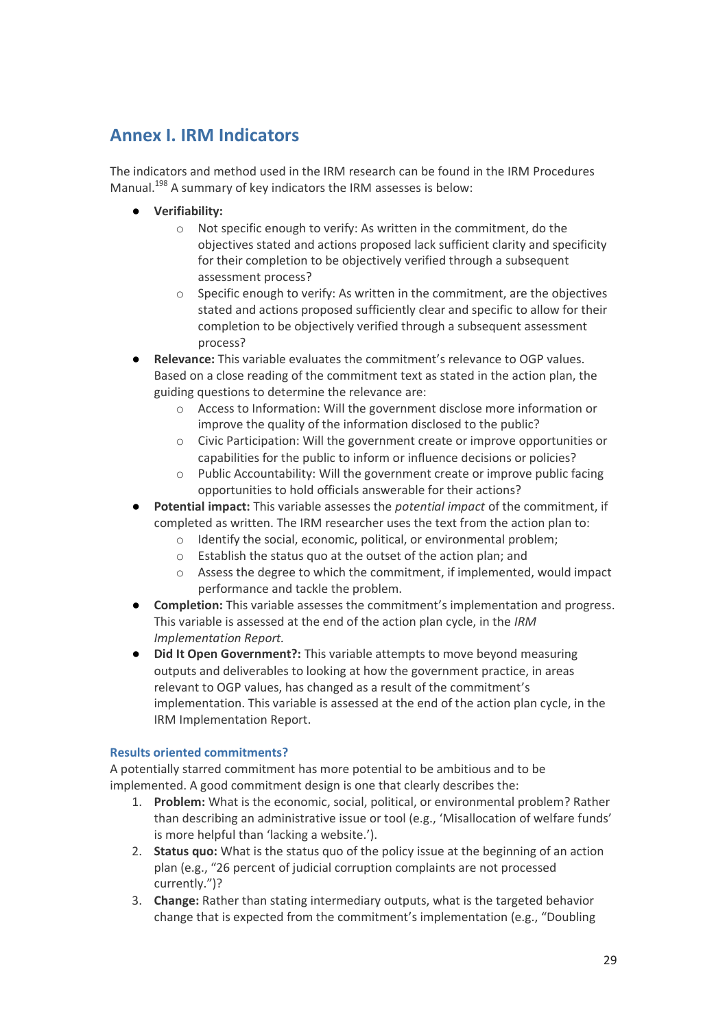## <span id="page-28-0"></span>**Annex I. IRM Indicators**

The indicators and method used in the IRM research can be found in the IRM Procedures Manual.<sup>198</sup> A summary of key indicators the IRM assesses is below:

- **Verifiability:**
	- o Not specific enough to verify: As written in the commitment, do the objectives stated and actions proposed lack sufficient clarity and specificity for their completion to be objectively verified through a subsequent assessment process?
	- $\circ$  Specific enough to verify: As written in the commitment, are the objectives stated and actions proposed sufficiently clear and specific to allow for their completion to be objectively verified through a subsequent assessment process?
- **Relevance:** This variable evaluates the commitment's relevance to OGP values. Based on a close reading of the commitment text as stated in the action plan, the guiding questions to determine the relevance are:
	- o Access to Information: Will the government disclose more information or improve the quality of the information disclosed to the public?
	- o Civic Participation: Will the government create or improve opportunities or capabilities for the public to inform or influence decisions or policies?
	- o Public Accountability: Will the government create or improve public facing opportunities to hold officials answerable for their actions?
- **Potential impact:** This variable assesses the *potential impact* of the commitment, if completed as written. The IRM researcher uses the text from the action plan to:
	- o Identify the social, economic, political, or environmental problem;
	- o Establish the status quo at the outset of the action plan; and
	- $\circ$  Assess the degree to which the commitment, if implemented, would impact performance and tackle the problem.
- **Completion:** This variable assesses the commitment's implementation and progress. This variable is assessed at the end of the action plan cycle, in the *IRM Implementation Report.*
- **Did It Open Government?:** This variable attempts to move beyond measuring outputs and deliverables to looking at how the government practice, in areas relevant to OGP values, has changed as a result of the commitment's implementation. This variable is assessed at the end of the action plan cycle, in the IRM Implementation Report.

#### **Results oriented commitments?**

A potentially starred commitment has more potential to be ambitious and to be implemented. A good commitment design is one that clearly describes the:

- 1. **Problem:** What is the economic, social, political, or environmental problem? Rather than describing an administrative issue or tool (e.g., 'Misallocation of welfare funds' is more helpful than 'lacking a website.').
- 2. **Status quo:** What is the status quo of the policy issue at the beginning of an action plan (e.g., "26 percent of judicial corruption complaints are not processed currently.")?
- 3. **Change:** Rather than stating intermediary outputs, what is the targeted behavior change that is expected from the commitment's implementation (e.g., "Doubling